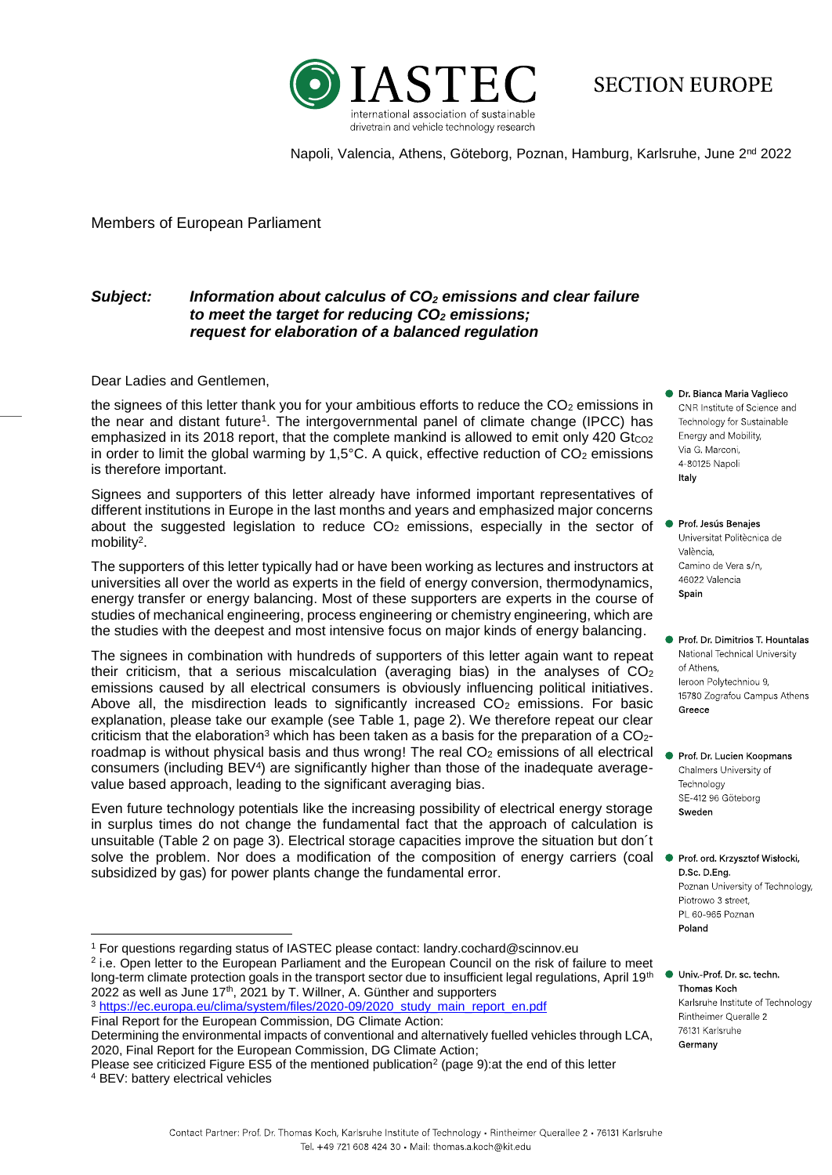

Napoli, Valencia, Athens, Göteborg, Poznan, Hamburg, Karlsruhe, June 2<sup>nd</sup> 2022

Members of European Parliament

## *Subject: Information about calculus of CO<sup>2</sup> emissions and clear failure to meet the target for reducing CO<sup>2</sup> emissions; request for elaboration of a balanced regulation*

Dear Ladies and Gentlemen,

the signees of this letter thank you for your ambitious efforts to reduce the  $CO<sub>2</sub>$  emissions in the near and distant future<sup>1</sup>. The intergovernmental panel of climate change (IPCC) has emphasized in its 2018 report, that the complete mankind is allowed to emit only 420  $Gt_{CO2}$ in order to limit the global warming by  $1.5^{\circ}$ C. A quick, effective reduction of  $CO<sub>2</sub>$  emissions is therefore important.

Signees and supporters of this letter already have informed important representatives of different institutions in Europe in the last months and years and emphasized major concerns about the suggested legislation to reduce  $CO<sub>2</sub>$  emissions, especially in the sector of mobility<sup>2</sup>.

The supporters of this letter typically had or have been working as lectures and instructors at universities all over the world as experts in the field of energy conversion, thermodynamics, energy transfer or energy balancing. Most of these supporters are experts in the course of studies of mechanical engineering, process engineering or chemistry engineering, which are the studies with the deepest and most intensive focus on major kinds of energy balancing.

The signees in combination with hundreds of supporters of this letter again want to repeat their criticism, that a serious miscalculation (averaging bias) in the analyses of  $CO<sub>2</sub>$ emissions caused by all electrical consumers is obviously influencing political initiatives. Above all, the misdirection leads to significantly increased  $CO<sub>2</sub>$  emissions. For basic explanation, please take our example (see Table 1, page 2). We therefore repeat our clear criticism that the elaboration<sup>3</sup> which has been taken as a basis for the preparation of a  $CO<sub>2</sub>$ roadmap is without physical basis and thus wrong! The real  $CO<sub>2</sub>$  emissions of all electrical consumers (including BEV<sup>4</sup> ) are significantly higher than those of the inadequate averagevalue based approach, leading to the significant averaging bias.

Even future technology potentials like the increasing possibility of electrical energy storage in surplus times do not change the fundamental fact that the approach of calculation is unsuitable (Table 2 on page 3). Electrical storage capacities improve the situation but don´t solve the problem. Nor does a modification of the composition of energy carriers (coal  $\bullet$  Prof. ord. Krzysztof Wisłocki, subsidized by gas) for power plants change the fundamental error.

l

- Dr. Bianca Maria Vaglieco CNR Institute of Science and Technology for Sustainable Energy and Mobility, Via G. Marconi, 4-80125 Napoli Italy
- Prof. Jesús Benaies Universitat Politècnica de València. Camino de Vera s/n. 46022 Valencia Spain
- Prof. Dr. Dimitrios T. Hountalas National Technical University of Athens. leroon Polytechniou 9, 15780 Zografou Campus Athens Greece
- Prof. Dr. Lucien Koopmans Chalmers University of Technoloav SE-412 96 Göteborg Sweden
- D.Sc. D.Eng. Poznan University of Technology, Piotrowo 3 street, PL 60-965 Poznan Poland
- Univ.-Prof. Dr. sc. techn. Thomas Koch Karlsruhe Institute of Technology **Rintheimer Queralle 2** 76131 Karlsruhe Germany

<sup>1</sup> For questions regarding status of IASTEC please contact: landry.cochard@scinnov.eu

<sup>&</sup>lt;sup>2</sup> i.e. Open letter to the European Parliament and the European Council on the risk of failure to meet long-term climate protection goals in the transport sector due to insufficient legal regulations, April 19<sup>th</sup> 2022 as well as June  $17<sup>th</sup>$ , 2021 by T. Willner, A. Günther and supporters

<sup>3</sup> [https://ec.europa.eu/clima/system/files/2020-09/2020\\_study\\_main\\_report\\_en.pdf](https://ec.europa.eu/clima/system/files/2020-09/2020_study_main_report_en.pdf) Final Report for the European Commission, DG Climate Action:

Determining the environmental impacts of conventional and alternatively fuelled vehicles through LCA, 2020, Final Report for the European Commission, DG Climate Action; Please see criticized Figure ES5 of the mentioned publication<sup>2</sup> (page 9): at the end of this letter

<sup>4</sup> BEV: battery electrical vehicles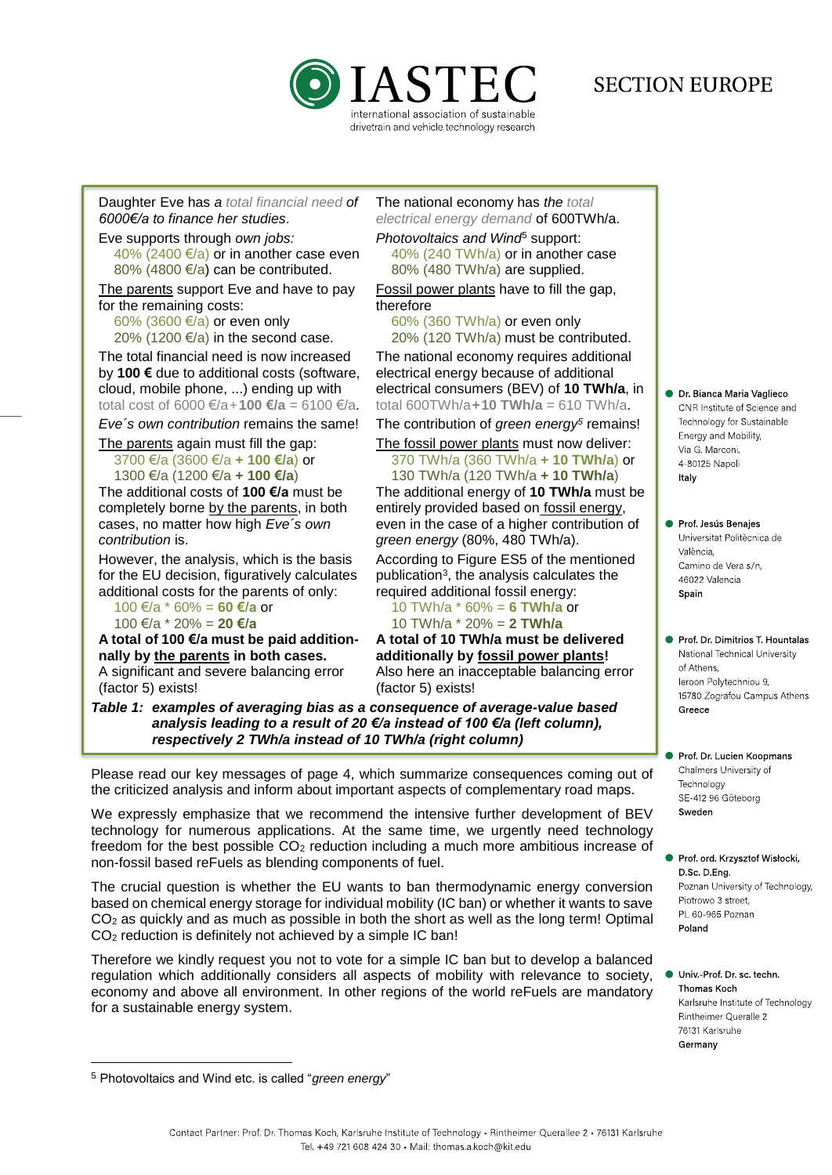

## **SECTION EUROPE**

Daughter Eve has *a total financial need of 6000€/a to finance her studies*.

Eve supports through *own jobs:*

40% (2400  $\epsilon$ /a) or in another case even 80% (4800 €/a) can be contributed.

The parents support Eve and have to pay for the remaining costs:

 60% (3600 €/a) or even only 20% (1200  $\epsilon$ /a) in the second case.

The total financial need is now increased by **100 €** due to additional costs (software, cloud, mobile phone, ...) ending up with total cost of 6000 €/a+**100 €/a** = 6100 €/a.

*Eve´s own contribution* remains the same!

The parents again must fill the gap: 3700 €/a (3600 €/a **+ 100 €/a**) or

 1300 €/a (1200 €/a **+ 100 €/a**) The additional costs of **100 €/a** must be completely borne by the parents, in both cases, no matter how high *Eve´s own contribution* is.

However, the analysis, which is the basis for the EU decision, figuratively calculates additional costs for the parents of only:

 100 €/a \* 60% = **60 €/a** or 100 €/a \* 20% = **20 €/a**

**A total of 100 €/a must be paid additionnally by the parents in both cases.**  A significant and severe balancing error (factor 5) exists!

The national economy has *the total electrical energy demand* of 600TWh/a.

*Photovoltaics and Wind*<sup>5</sup> support:

 40% (240 TWh/a) or in another case 80% (480 TWh/a) are supplied.

Fossil power plants have to fill the gap, therefore

 60% (360 TWh/a) or even only 20% (120 TWh/a) must be contributed.

The national economy requires additional electrical energy because of additional electrical consumers (BEV) of **10 TWh/a**, in total 600TWh/a**+10 TWh/a** = 610 TWh/a.

The contribution of *green energy<sup>5</sup>* remains!

The fossil power plants must now deliver: 370 TWh/a (360 TWh/a **+ 10 TWh/a**) or

 130 TWh/a (120 TWh/a **+ 10 TWh/a**) The additional energy of **10 TWh/a** must be entirely provided based on fossil energy, even in the case of a higher contribution of *green energy* (80%, 480 TWh/a).

According to Figure ES5 of the mentioned publication<sup>3</sup>, the analysis calculates the required additional fossil energy:

 10 TWh/a \* 60% = **6 TWh/a** or 10 TWh/a \* 20% = **2 TWh/a**

**A total of 10 TWh/a must be delivered additionally by fossil power plants!** Also here an inacceptable balancing error (factor 5) exists!

*Table 1: examples of averaging bias as a consequence of average-value based analysis leading to a result of 20 €/a instead of 100 €/a (left column), respectively 2 TWh/a instead of 10 TWh/a (right column)*

Please read our key messages of page 4, which summarize consequences coming out of the criticized analysis and inform about important aspects of complementary road maps.

We expressly emphasize that we recommend the intensive further development of BEV technology for numerous applications. At the same time, we urgently need technology freedom for the best possible CO<sup>2</sup> reduction including a much more ambitious increase of non-fossil based reFuels as blending components of fuel.

The crucial question is whether the EU wants to ban thermodynamic energy conversion based on chemical energy storage for individual mobility (IC ban) or whether it wants to save CO<sub>2</sub> as quickly and as much as possible in both the short as well as the long term! Optimal CO<sup>2</sup> reduction is definitely not achieved by a simple IC ban!

Therefore we kindly request you not to vote for a simple IC ban but to develop a balanced regulation which additionally considers all aspects of mobility with relevance to society, economy and above all environment. In other regions of the world reFuels are mandatory for a sustainable energy system.

l

● Dr. Bianca Maria Vaglieco CNR Institute of Science and Technology for Sustainable Energy and Mobility, Via G. Marconi, 4-80125 Napoli Italy

- Prof. Jesús Benaies Universitat Politècnica de València. Camino de Vera s/n. 46022 Valencia Spain
- Prof. Dr. Dimitrios T. Hountalas National Technical University of Athens. leroon Polytechniou 9, 15780 Zografou Campus Athens Greece
- Prof. Dr. Lucien Koopmans Chalmers University of Technology SE-412 96 Göteborg Sweden
- Prof. ord. Krzysztof Wisłocki, D.Sc. D.Eng. Poznan University of Technology, Piotrowo 3 street. PL 60-965 Poznan Poland
- Univ.-Prof. Dr. sc. techn. **Thomas Koch** Karlsruhe Institute of Technology Rintheimer Queralle 2 76131 Karlsruhe Germany

<sup>5</sup> Photovoltaics and Wind etc. is called "*green energy*"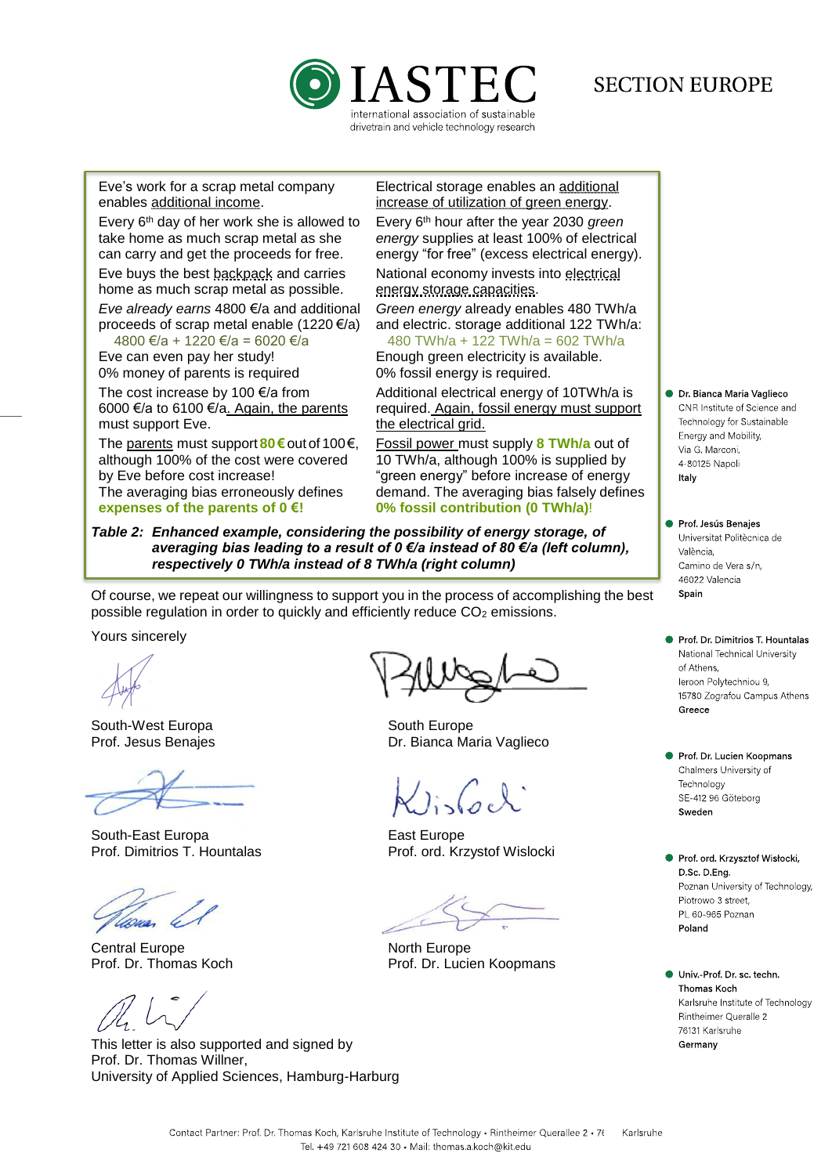

## **SECTION EUROPE**

Eve's work for a scrap metal company enables additional income.

Every 6<sup>th</sup> day of her work she is allowed to take home as much scrap metal as she can carry and get the proceeds for free. Eve buys the best backpack and carries home as much scrap metal as possible. *Eve already earns* 4800 €/a and additional proceeds of scrap metal enable (1220 €/a)

 4800 €/a + 1220 €/a = 6020 €/a Eve can even pay her study! 0% money of parents is required The cost increase by 100 €/a from 6000 €/a to 6100 €/a. Again, the parents must support Eve.

The parents must support **80 €** out of 100 €, although 100% of the cost were covered by Eve before cost increase! The averaging bias erroneously defines **expenses of the parents of 0 €!**

Electrical storage enables an additional increase of utilization of green energy.

Every 6th hour after the year 2030 *green energy* supplies at least 100% of electrical energy "for free" (excess electrical energy). National economy invests into electrical

energy storage capacities. *Green energy* already enables 480 TWh/a and electric. storage additional 122 TWh/a:

 480 TWh/a + 122 TWh/a = 602 TWh/a Enough green electricity is available. 0% fossil energy is required.

Additional electrical energy of 10TWh/a is required. Again, fossil energy must support the electrical grid.

Fossil power must supply **8 TWh/a** out of 10 TWh/a, although 100% is supplied by "green energy" before increase of energy demand. The averaging bias falsely defines **0% fossil contribution (0 TWh/a)**!

*Table 2: Enhanced example, considering the possibility of energy storage, of averaging bias leading to a result of 0 €/a instead of 80 €/a (left column), respectively 0 TWh/a instead of 8 TWh/a (right column)*

Of course, we repeat our willingness to support you in the process of accomplishing the best possible regulation in order to quickly and efficiently reduce  $CO<sub>2</sub>$  emissions.

Yours sincerely

South-West Europa South Europe

South-East Europa **East Europe** East Europe Prof. Dimitrios T. Hountalas Prof. ord. Krzystof Wislocki

Duar

Central Europe North Europe

This letter is also supported and signed by Prof. Dr. Thomas Willner, University of Applied Sciences, Hamburg-Harburg

Prof. Jesus Benajes **Dr. Bianca Maria Vaglieco** 

 $l$ islact

Prof. Dr. Thomas Koch Prof. Dr. Lucien Koopmans

- **O** Dr. Bianca Maria Vaglieco CNR Institute of Science and Technology for Sustainable Energy and Mobility, Via G. Marconi, 4-80125 Napoli Italy
- Prof. Jesús Benaies Universitat Politècnica de València Camino de Vera s/n. 46022 Valencia Spain
- Prof. Dr. Dimitrios T. Hountalas National Technical University of Athens. leroon Polytechniou 9, 15780 Zografou Campus Athens Greece
- Prof. Dr. Lucien Koopmans Chalmers University of Technology SE-412 96 Göteborg Sweden
- Prof. ord. Krzysztof Wisłocki, D.Sc. D.Ena. Poznan University of Technology, Piotrowo 3 street. PL 60-965 Poznan Poland
- Univ.-Prof. Dr. sc. techn. Thomas Koch Karlsruhe Institute of Technology Rintheimer Queralle 2 76131 Karlsruhe Germany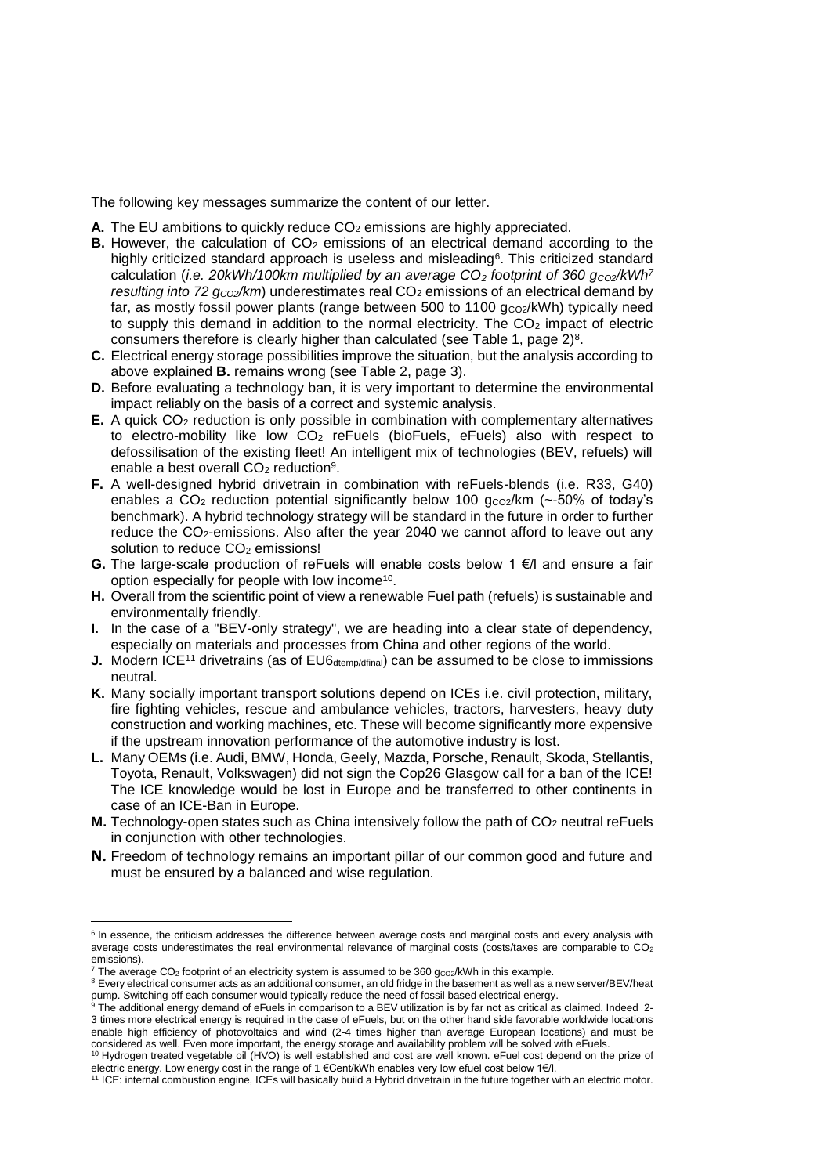The following key messages summarize the content of our letter.

- **A.** The EU ambitions to quickly reduce CO<sub>2</sub> emissions are highly appreciated.
- **B.** However, the calculation of  $CO<sub>2</sub>$  emissions of an electrical demand according to the highly criticized standard approach is useless and misleading<sup>6</sup>. This criticized standard calculation (*i.e. 20kWh/100km multiplied by an average CO<sup>2</sup> footprint of 360 gCO2/kWh<sup>7</sup> resulting into 72 g<sub>CO2</sub>/km*) underestimates real CO<sub>2</sub> emissions of an electrical demand by far, as mostly fossil power plants (range between 500 to 1100  $g_{CO2}/kWh$ ) typically need to supply this demand in addition to the normal electricity. The  $CO<sub>2</sub>$  impact of electric consumers therefore is clearly higher than calculated (see Table 1, page  $2)^8$ .
- **C.** Electrical energy storage possibilities improve the situation, but the analysis according to above explained **B.** remains wrong (see Table 2, page 3).
- **D.** Before evaluating a technology ban, it is very important to determine the environmental impact reliably on the basis of a correct and systemic analysis.
- **E.** A quick CO<sub>2</sub> reduction is only possible in combination with complementary alternatives to electro-mobility like low CO<sub>2</sub> reFuels (bioFuels, eFuels) also with respect to defossilisation of the existing fleet! An intelligent mix of technologies (BEV, refuels) will enable a best overall CO<sub>2</sub> reduction<sup>9</sup>.
- **F.** A well-designed hybrid drivetrain in combination with reFuels-blends (i.e. R33, G40) enables a CO<sub>2</sub> reduction potential significantly below 100  $g_{CO2}/km$  (~-50% of today's benchmark). A hybrid technology strategy will be standard in the future in order to further reduce the  $CO<sub>2</sub>$ -emissions. Also after the year 2040 we cannot afford to leave out any solution to reduce CO<sub>2</sub> emissions!
- **G.** The large-scale production of reFuels will enable costs below 1 €/l and ensure a fair option especially for people with low income<sup>10</sup>.
- **H.** Overall from the scientific point of view a renewable Fuel path (refuels) is sustainable and environmentally friendly.
- **I.** In the case of a "BEV-only strategy", we are heading into a clear state of dependency, especially on materials and processes from China and other regions of the world.
- **J.** Modern ICE<sup>11</sup> drivetrains (as of EU6<sub>dtemp/dfinal</sub>) can be assumed to be close to immissions neutral.
- **K.** Many socially important transport solutions depend on ICEs i.e. civil protection, military, fire fighting vehicles, rescue and ambulance vehicles, tractors, harvesters, heavy duty construction and working machines, etc. These will become significantly more expensive if the upstream innovation performance of the automotive industry is lost.
- **L.** Many OEMs (i.e. Audi, BMW, Honda, Geely, Mazda, Porsche, Renault, Skoda, Stellantis, Toyota, Renault, Volkswagen) did not sign the Cop26 Glasgow call for a ban of the ICE! The ICE knowledge would be lost in Europe and be transferred to other continents in case of an ICE-Ban in Europe.
- **M.** Technology-open states such as China intensively follow the path of  $CO<sub>2</sub>$  neutral reFuels in conjunction with other technologies.
- **N.** Freedom of technology remains an important pillar of our common good and future and must be ensured by a balanced and wise regulation.

l

<sup>&</sup>lt;sup>6</sup> In essence, the criticism addresses the difference between average costs and marginal costs and every analysis with average costs underestimates the real environmental relevance of marginal costs (costs/taxes are comparable to CO<sup>2</sup> emissions).

<sup>&</sup>lt;sup>7</sup> The average CO<sub>2</sub> footprint of an electricity system is assumed to be 360 gco<sub>2</sub>/kWh in this example.

<sup>8</sup> Every electrical consumer acts as an additional consumer, an old fridge in the basement as well as a new server/BEV/heat pump. Switching off each consumer would typically reduce the need of fossil based electrical energy.

 $9$  The additional energy demand of eFuels in comparison to a BEV utilization is by far not as critical as claimed. Indeed 2-3 times more electrical energy is required in the case of eFuels, but on the other hand side favorable worldwide locations enable high efficiency of photovoltaics and wind (2-4 times higher than average European locations) and must be considered as well. Even more important, the energy storage and availability problem will be solved with eFuels.

<sup>&</sup>lt;sup>10</sup> Hydrogen treated vegetable oil (HVO) is well established and cost are well known. eFuel cost depend on the prize of electric energy. Low energy cost in the range of 1 €Cent/kWh enables very low efuel cost below 1€/l.

<sup>11</sup> ICE: internal combustion engine, ICEs will basically build a Hybrid drivetrain in the future together with an electric motor.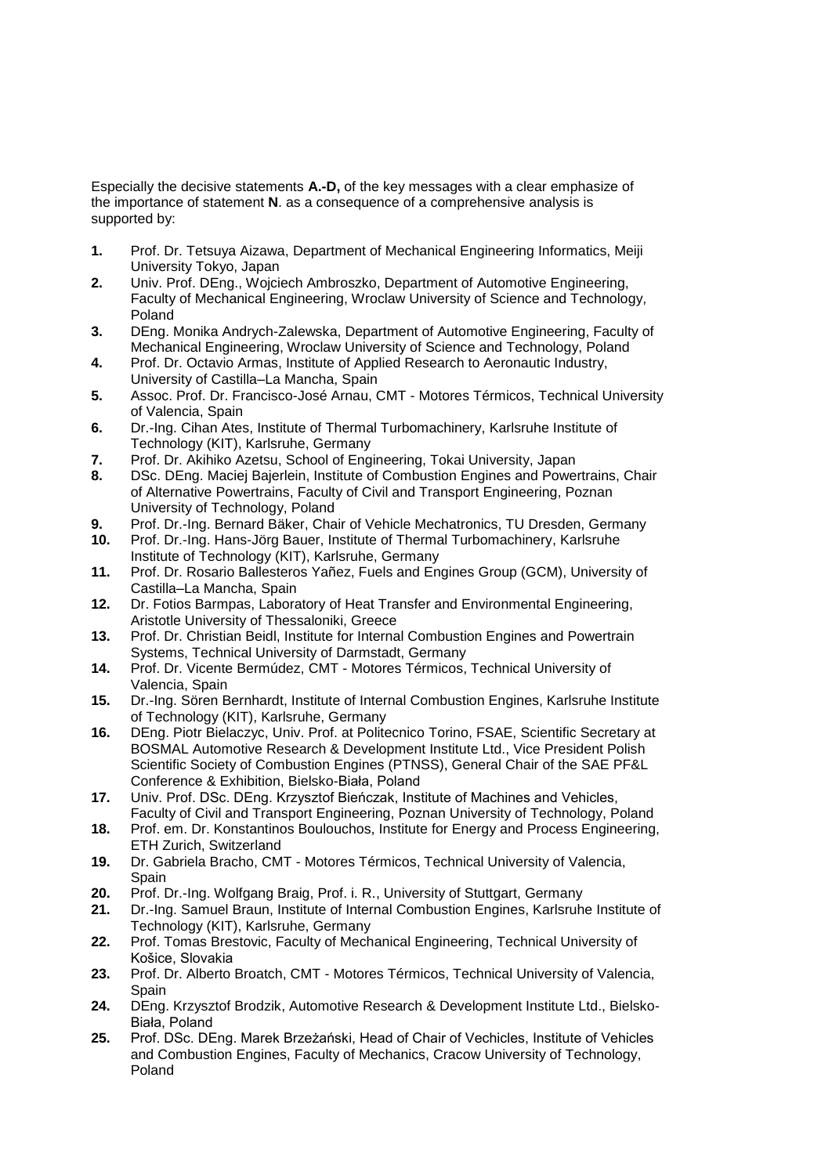Especially the decisive statements **A.-D,** of the key messages with a clear emphasize of the importance of statement **N**. as a consequence of a comprehensive analysis is supported by:

- **1.** Prof. Dr. Tetsuya Aizawa, Department of Mechanical Engineering Informatics, Meiji University Tokyo, Japan
- **2.** Univ. Prof. DEng., Wojciech Ambroszko, Department of Automotive Engineering, Faculty of Mechanical Engineering, Wroclaw University of Science and Technology, Poland
- **3.** DEng. Monika Andrych-Zalewska, Department of Automotive Engineering, Faculty of Mechanical Engineering, Wroclaw University of Science and Technology, Poland
- **4.** Prof. Dr. Octavio Armas, Institute of Applied Research to Aeronautic Industry, University of Castilla–La Mancha, Spain
- **5.** Assoc. Prof. Dr. Francisco-José Arnau, CMT Motores Térmicos, Technical University of Valencia, Spain
- **6.** Dr.-Ing. Cihan Ates, Institute of Thermal Turbomachinery, Karlsruhe Institute of Technology (KIT), Karlsruhe, Germany
- **7.** Prof. Dr. Akihiko Azetsu, School of Engineering, Tokai University, Japan
- **8.** DSc. DEng. Maciej Bajerlein, Institute of Combustion Engines and Powertrains, Chair of Alternative Powertrains, Faculty of Civil and Transport Engineering, Poznan University of Technology, Poland
- **9.** Prof. Dr.-Ing. Bernard Bäker, Chair of Vehicle Mechatronics, TU Dresden, Germany
- **10.** Prof. Dr.-Ing. Hans-Jörg Bauer, Institute of Thermal Turbomachinery, Karlsruhe Institute of Technology (KIT), Karlsruhe, Germany
- **11.** Prof. Dr. Rosario Ballesteros Yañez, Fuels and Engines Group (GCM), University of Castilla–La Mancha, Spain
- **12.** Dr. Fotios Barmpas, Laboratory of Heat Transfer and Environmental Engineering, Aristotle University of Thessaloniki, Greece
- **13.** Prof. Dr. Christian Beidl, Institute for Internal Combustion Engines and Powertrain Systems, Technical University of Darmstadt, Germany
- **14.** Prof. Dr. Vicente Bermúdez, CMT Motores Térmicos, Technical University of Valencia, Spain
- **15.** Dr.-Ing. Sören Bernhardt, Institute of Internal Combustion Engines, Karlsruhe Institute of Technology (KIT), Karlsruhe, Germany
- **16.** DEng. Piotr Bielaczyc, Univ. Prof. at Politecnico Torino, FSAE, Scientific Secretary at BOSMAL Automotive Research & Development Institute Ltd., Vice President Polish Scientific Society of Combustion Engines (PTNSS), General Chair of the SAE PF&L Conference & Exhibition, Bielsko-Biała, Poland
- **17.** Univ. Prof. DSc. DEng. Krzysztof Bieńczak, Institute of Machines and Vehicles, Faculty of Civil and Transport Engineering, Poznan University of Technology, Poland
- **18.** Prof. em. Dr. Konstantinos Boulouchos, Institute for Energy and Process Engineering, ETH Zurich, Switzerland
- **19.** Dr. Gabriela Bracho, CMT Motores Térmicos, Technical University of Valencia, **Spain**
- **20.** Prof. Dr.-Ing. Wolfgang Braig, Prof. i. R., University of Stuttgart, Germany
- **21.** Dr.-Ing. Samuel Braun, Institute of Internal Combustion Engines, Karlsruhe Institute of Technology (KIT), Karlsruhe, Germany
- **22.** Prof. Tomas Brestovic, Faculty of Mechanical Engineering, Technical University of Košice, Slovakia
- **23.** Prof. Dr. Alberto Broatch, CMT Motores Térmicos, Technical University of Valencia, **Spain**
- **24.** DEng. Krzysztof Brodzik, Automotive Research & Development Institute Ltd., Bielsko-Biała, Poland
- **25.** Prof. DSc. DEng. Marek Brzeżański, Head of Chair of Vechicles, Institute of Vehicles and Combustion Engines, Faculty of Mechanics, Cracow University of Technology, Poland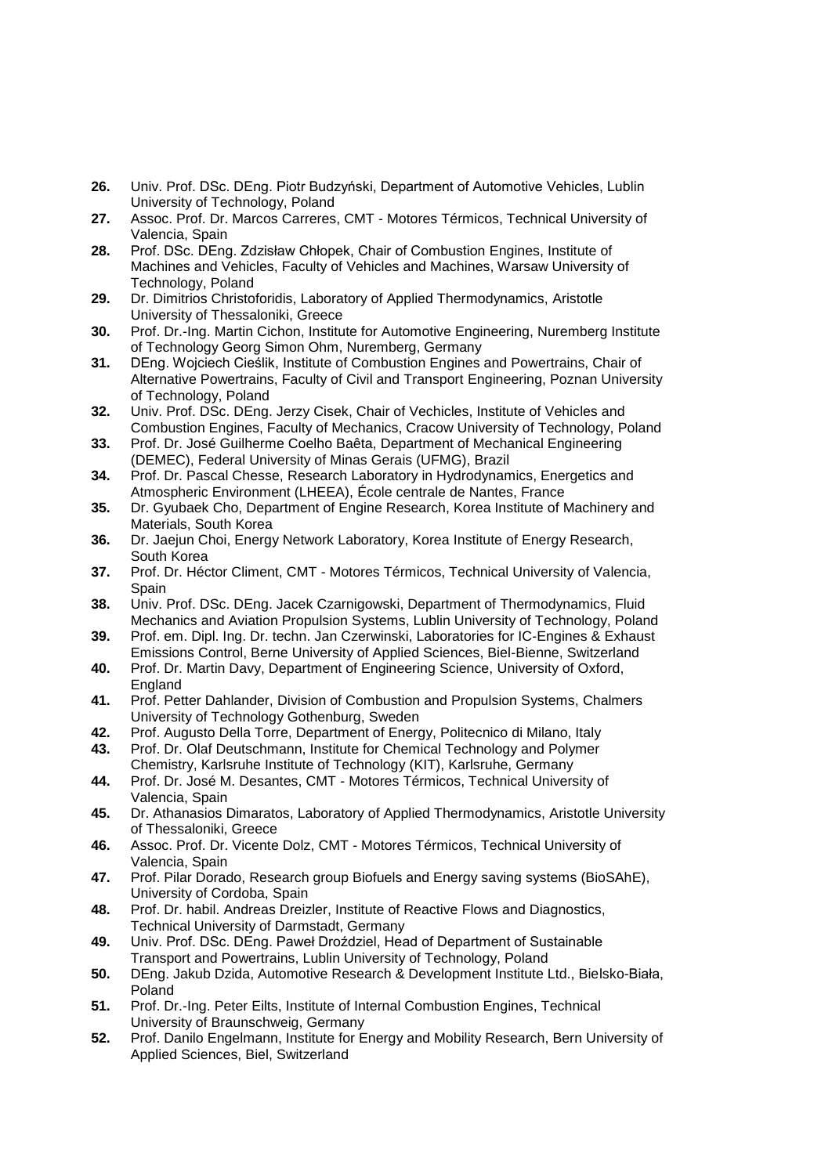- **26.** Univ. Prof. DSc. DEng. Piotr Budzyński, Department of Automotive Vehicles, Lublin University of Technology, Poland
- **27.** Assoc. Prof. Dr. Marcos Carreres, CMT Motores Térmicos, Technical University of Valencia, Spain
- **28.** Prof. DSc. DEng. Zdzisław Chłopek, Chair of Combustion Engines, Institute of Machines and Vehicles, Faculty of Vehicles and Machines, Warsaw University of Technology, Poland
- **29.** Dr. Dimitrios Christoforidis, Laboratory of Applied Thermodynamics, Aristotle University of Thessaloniki, Greece
- **30.** Prof. Dr.-Ing. Martin Cichon, Institute for Automotive Engineering, Nuremberg Institute of Technology Georg Simon Ohm, Nuremberg, Germany
- **31.** DEng. Wojciech Cieślik, Institute of Combustion Engines and Powertrains, Chair of Alternative Powertrains, Faculty of Civil and Transport Engineering, Poznan University of Technology, Poland
- **32.** Univ. Prof. DSc. DEng. Jerzy Cisek, Chair of Vechicles, Institute of Vehicles and Combustion Engines, Faculty of Mechanics, Cracow University of Technology, Poland
- **33.** Prof. Dr. José Guilherme Coelho Baêta, Department of Mechanical Engineering (DEMEC), Federal University of Minas Gerais (UFMG), Brazil
- **34.** Prof. Dr. Pascal Chesse, Research Laboratory in Hydrodynamics, Energetics and Atmospheric Environment (LHEEA), École centrale de Nantes, France
- **35.** Dr. Gyubaek Cho, Department of Engine Research, Korea Institute of Machinery and Materials, South Korea
- **36.** Dr. Jaejun Choi, Energy Network Laboratory, Korea Institute of Energy Research, South Korea
- **37.** Prof. Dr. Héctor Climent, CMT Motores Térmicos, Technical University of Valencia, **Spain**
- **38.** Univ. Prof. DSc. DEng. Jacek Czarnigowski, Department of Thermodynamics, Fluid Mechanics and Aviation Propulsion Systems, Lublin University of Technology, Poland
- **39.** Prof. em. Dipl. Ing. Dr. techn. Jan Czerwinski, Laboratories for IC-Engines & Exhaust Emissions Control, Berne University of Applied Sciences, Biel-Bienne, Switzerland
- **40.** Prof. Dr. Martin Davy, Department of Engineering Science, University of Oxford, England
- **41.** Prof. Petter Dahlander, Division of Combustion and Propulsion Systems, Chalmers University of Technology Gothenburg, Sweden
- **42.** Prof. Augusto Della Torre, Department of Energy, Politecnico di Milano, Italy
- **43.** Prof. Dr. Olaf Deutschmann, Institute for Chemical Technology and Polymer Chemistry, Karlsruhe Institute of Technology (KIT), Karlsruhe, Germany
- **44.** Prof. Dr. José M. Desantes, CMT Motores Térmicos, Technical University of Valencia, Spain
- **45.** Dr. Athanasios Dimaratos, Laboratory of Applied Thermodynamics, Aristotle University of Thessaloniki, Greece
- **46.** Assoc. Prof. Dr. Vicente Dolz, CMT Motores Térmicos, Technical University of Valencia, Spain
- **47.** Prof. Pilar Dorado, Research group Biofuels and Energy saving systems (BioSAhE), University of Cordoba, Spain
- **48.** Prof. Dr. habil. Andreas Dreizler, Institute of Reactive Flows and Diagnostics, Technical University of Darmstadt, Germany
- **49.** Univ. Prof. DSc. DEng. Paweł Droździel, Head of Department of Sustainable Transport and Powertrains, Lublin University of Technology, Poland
- **50.** DEng. Jakub Dzida, Automotive Research & Development Institute Ltd., Bielsko-Biała, Poland
- **51.** Prof. Dr.-Ing. Peter Eilts, Institute of Internal Combustion Engines, Technical University of Braunschweig, Germany
- **52.** Prof. Danilo Engelmann, Institute for Energy and Mobility Research, Bern University of Applied Sciences, Biel, Switzerland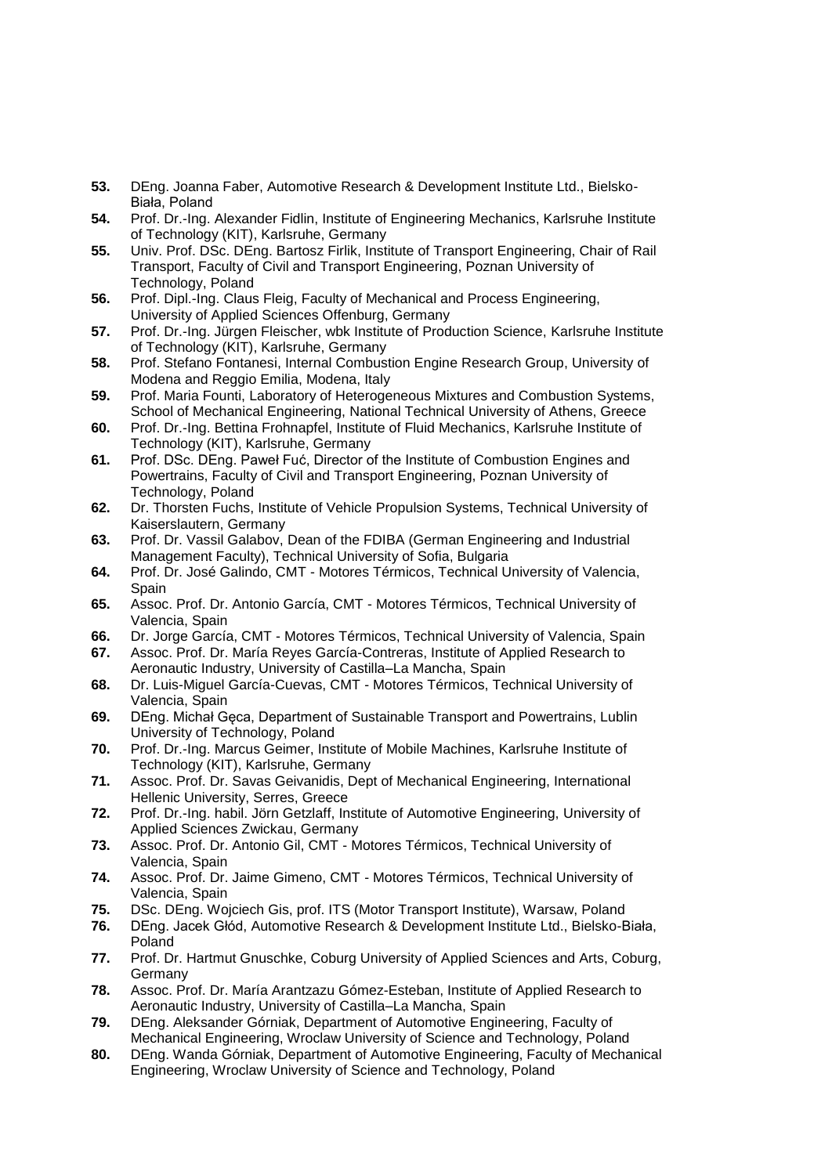- **53.** DEng. Joanna Faber, Automotive Research & Development Institute Ltd., Bielsko-Biała, Poland
- **54.** Prof. Dr.-Ing. Alexander Fidlin, Institute of Engineering Mechanics, Karlsruhe Institute of Technology (KIT), Karlsruhe, Germany
- **55.** Univ. Prof. DSc. DEng. Bartosz Firlik, Institute of Transport Engineering, Chair of Rail Transport, Faculty of Civil and Transport Engineering, Poznan University of Technology, Poland
- **56.** Prof. Dipl.-Ing. Claus Fleig, Faculty of Mechanical and Process Engineering, University of Applied Sciences Offenburg, Germany
- **57.** Prof. Dr.-Ing. Jürgen Fleischer, wbk Institute of Production Science, Karlsruhe Institute of Technology (KIT), Karlsruhe, Germany
- **58.** Prof. Stefano Fontanesi, Internal Combustion Engine Research Group, University of Modena and Reggio Emilia, Modena, Italy
- **59.** Prof. Maria Founti, Laboratory of Heterogeneous Mixtures and Combustion Systems, School of Mechanical Engineering, National Technical University of Athens, Greece
- **60.** Prof. Dr.-Ing. Bettina Frohnapfel, Institute of Fluid Mechanics, Karlsruhe Institute of Technology (KIT), Karlsruhe, Germany
- **61.** Prof. DSc. DEng. Paweł Fuć, Director of the Institute of Combustion Engines and Powertrains, Faculty of Civil and Transport Engineering, Poznan University of Technology, Poland
- **62.** Dr. Thorsten Fuchs, Institute of Vehicle Propulsion Systems, Technical University of Kaiserslautern, Germany
- **63.** Prof. Dr. Vassil Galabov, Dean of the FDIBA (German Engineering and Industrial Management Faculty), Technical University of Sofia, Bulgaria
- **64.** Prof. Dr. José Galindo, CMT Motores Térmicos, Technical University of Valencia, **Spain**
- **65.** Assoc. Prof. Dr. Antonio García, CMT Motores Térmicos, Technical University of Valencia, Spain
- **66.** Dr. Jorge García, CMT Motores Térmicos, Technical University of Valencia, Spain
- **67.** Assoc. Prof. Dr. María Reyes García-Contreras, Institute of Applied Research to Aeronautic Industry, University of Castilla–La Mancha, Spain
- **68.** Dr. Luis-Miguel García-Cuevas, CMT Motores Térmicos, Technical University of Valencia, Spain
- **69.** DEng. Michał Gęca, Department of Sustainable Transport and Powertrains, Lublin University of Technology, Poland
- **70.** Prof. Dr.-Ing. Marcus Geimer, Institute of Mobile Machines, Karlsruhe Institute of Technology (KIT), Karlsruhe, Germany
- **71.** Assoc. Prof. Dr. Savas Geivanidis, Dept of Mechanical Engineering, International Hellenic University, Serres, Greece
- **72.** Prof. Dr.-Ing. habil. Jörn Getzlaff, Institute of Automotive Engineering, University of Applied Sciences Zwickau, Germany
- **73.** Assoc. Prof. Dr. Antonio Gil, CMT Motores Térmicos, Technical University of Valencia, Spain
- **74.** Assoc. Prof. Dr. Jaime Gimeno, CMT Motores Térmicos, Technical University of Valencia, Spain
- **75.** DSc. DEng. Wojciech Gis, prof. ITS (Motor Transport Institute), Warsaw, Poland
- **76.** DEng. Jacek Głód, Automotive Research & Development Institute Ltd., Bielsko-Biała, Poland
- **77.** Prof. Dr. Hartmut Gnuschke, Coburg University of Applied Sciences and Arts, Coburg, Germany
- **78.** Assoc. Prof. Dr. María Arantzazu Gómez-Esteban, Institute of Applied Research to Aeronautic Industry, University of Castilla–La Mancha, Spain
- **79.** DEng. Aleksander Górniak, Department of Automotive Engineering, Faculty of Mechanical Engineering, Wroclaw University of Science and Technology, Poland
- **80.** DEng. Wanda Górniak, Department of Automotive Engineering, Faculty of Mechanical Engineering, Wroclaw University of Science and Technology, Poland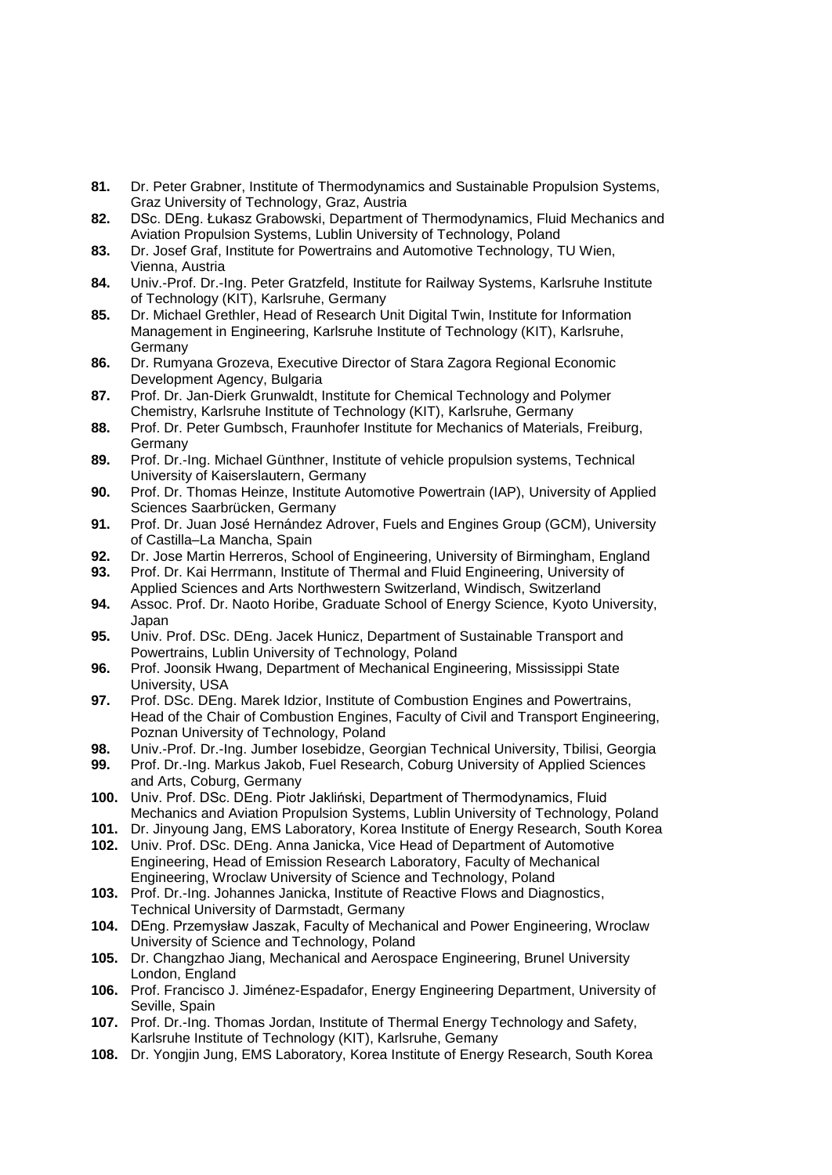- **81.** Dr. Peter Grabner, Institute of Thermodynamics and Sustainable Propulsion Systems, Graz University of Technology, Graz, Austria
- **82.** DSc. DEng. Łukasz Grabowski, Department of Thermodynamics, Fluid Mechanics and Aviation Propulsion Systems, Lublin University of Technology, Poland
- **83.** Dr. Josef Graf, Institute for Powertrains and Automotive Technology, TU Wien, Vienna, Austria
- **84.** Univ.-Prof. Dr.-Ing. Peter Gratzfeld, Institute for Railway Systems, Karlsruhe Institute of Technology (KIT), Karlsruhe, Germany
- **85.** Dr. Michael Grethler, Head of Research Unit Digital Twin, Institute for Information Management in Engineering, Karlsruhe Institute of Technology (KIT), Karlsruhe, Germany
- **86.** Dr. Rumyana Grozeva, Executive Director of Stara Zagora Regional Economic Development Agency, Bulgaria
- **87.** Prof. Dr. Jan-Dierk Grunwaldt, Institute for Chemical Technology and Polymer Chemistry, Karlsruhe Institute of Technology (KIT), Karlsruhe, Germany
- **88.** Prof. Dr. Peter Gumbsch, Fraunhofer Institute for Mechanics of Materials, Freiburg, Germany
- **89.** Prof. Dr.-Ing. Michael Günthner, Institute of vehicle propulsion systems, Technical University of Kaiserslautern, Germany
- **90.** Prof. Dr. Thomas Heinze, Institute Automotive Powertrain (IAP), University of Applied Sciences Saarbrücken, Germany
- 91. Prof. Dr. Juan José Hernández Adrover, Fuels and Engines Group (GCM), University of Castilla–La Mancha, Spain
- **92.** Dr. Jose Martin Herreros, School of Engineering, University of Birmingham, England
- **93.** Prof. Dr. Kai Herrmann, Institute of Thermal and Fluid Engineering, University of Applied Sciences and Arts Northwestern Switzerland, Windisch, Switzerland
- **94.** Assoc. Prof. Dr. Naoto Horibe, Graduate School of Energy Science, Kyoto University, Japan
- **95.** Univ. Prof. DSc. DEng. Jacek Hunicz, Department of Sustainable Transport and Powertrains, Lublin University of Technology, Poland
- **96.** Prof. Joonsik Hwang, Department of Mechanical Engineering, Mississippi State University, USA
- **97.** Prof. DSc. DEng. Marek Idzior, Institute of Combustion Engines and Powertrains, Head of the Chair of Combustion Engines, Faculty of Civil and Transport Engineering, Poznan University of Technology, Poland
- **98.** Univ.-Prof. Dr.-Ing. Jumber Iosebidze, Georgian Technical University, Tbilisi, Georgia
- **99.** Prof. Dr.-Ing. Markus Jakob, Fuel Research, Coburg University of Applied Sciences and Arts, Coburg, Germany
- **100.** Univ. Prof. DSc. DEng. Piotr Jakliński, Department of Thermodynamics, Fluid Mechanics and Aviation Propulsion Systems, Lublin University of Technology, Poland
- **101.** Dr. Jinyoung Jang, EMS Laboratory, Korea Institute of Energy Research, South Korea
- **102.** Univ. Prof. DSc. DEng. Anna Janicka, Vice Head of Department of Automotive Engineering, Head of Emission Research Laboratory, Faculty of Mechanical Engineering, Wroclaw University of Science and Technology, Poland
- **103.** Prof. Dr.-Ing. Johannes Janicka, Institute of Reactive Flows and Diagnostics, Technical University of Darmstadt, Germany
- **104.** DEng. Przemysław Jaszak, Faculty of Mechanical and Power Engineering, Wroclaw University of Science and Technology, Poland
- **105.** Dr. Changzhao Jiang, Mechanical and Aerospace Engineering, Brunel University London, England
- **106.** Prof. Francisco J. Jiménez-Espadafor, Energy Engineering Department, University of Seville, Spain
- **107.** Prof. Dr.-Ing. Thomas Jordan, Institute of Thermal Energy Technology and Safety, Karlsruhe Institute of Technology (KIT), Karlsruhe, Gemany
- **108.** Dr. Yongjin Jung, EMS Laboratory, Korea Institute of Energy Research, South Korea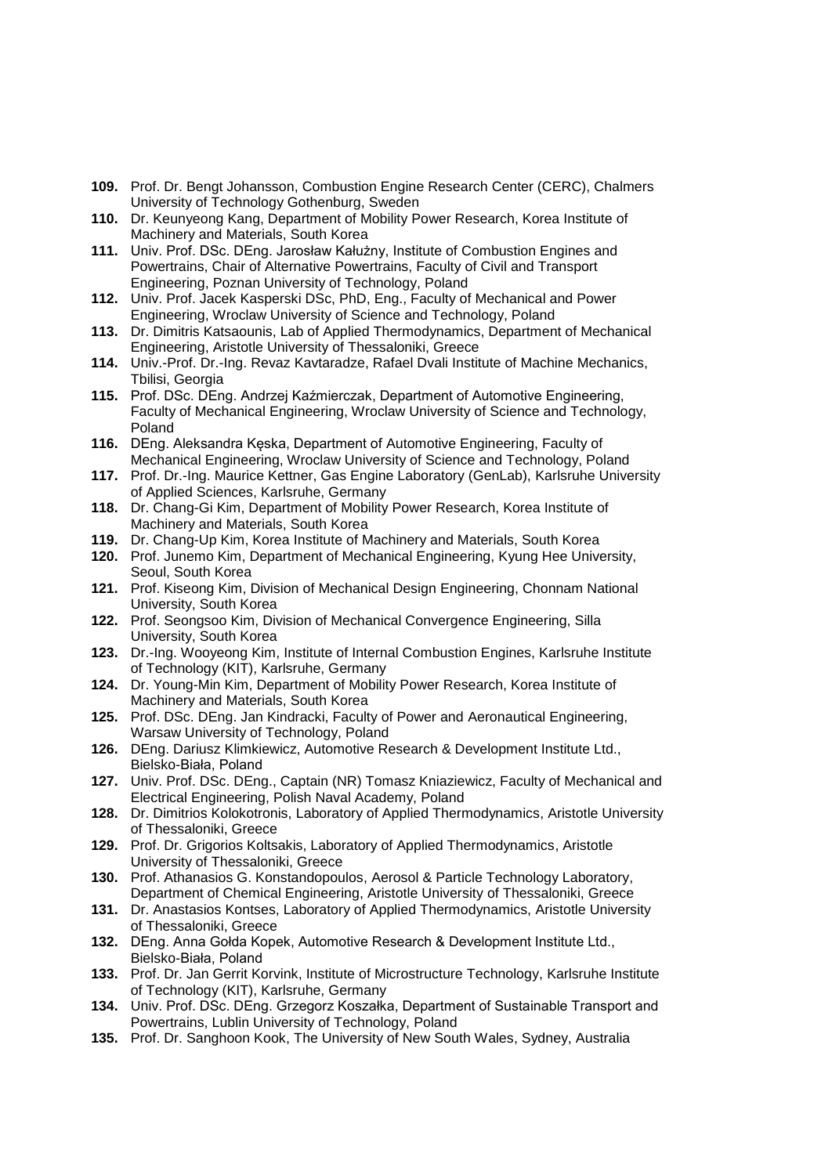- **109.** Prof. Dr. Bengt Johansson, Combustion Engine Research Center (CERC), Chalmers University of Technology Gothenburg, Sweden
- **110.** Dr. Keunyeong Kang, Department of Mobility Power Research, Korea Institute of Machinery and Materials, South Korea
- **111.** Univ. Prof. DSc. DEng. Jarosław Kałużny, Institute of Combustion Engines and Powertrains, Chair of Alternative Powertrains, Faculty of Civil and Transport Engineering, Poznan University of Technology, Poland
- **112.** Univ. Prof. Jacek Kasperski DSc, PhD, Eng., Faculty of Mechanical and Power Engineering, Wroclaw University of Science and Technology, Poland
- **113.** Dr. Dimitris Katsaounis, Lab of Applied Thermodynamics, Department of Mechanical Engineering, Aristotle University of Thessaloniki, Greece
- **114.** Univ.-Prof. Dr.-Ing. Revaz Kavtaradze, Rafael Dvali Institute of Machine Mechanics, Tbilisi, Georgia
- **115.** Prof. DSc. DEng. Andrzej Kaźmierczak, Department of Automotive Engineering, Faculty of Mechanical Engineering, Wroclaw University of Science and Technology, Poland
- **116.** DEng. Aleksandra Kęska, Department of Automotive Engineering, Faculty of Mechanical Engineering, Wroclaw University of Science and Technology, Poland
- **117.** Prof. Dr.-Ing. Maurice Kettner, Gas Engine Laboratory (GenLab), Karlsruhe University of Applied Sciences, Karlsruhe, Germany
- **118.** Dr. Chang-Gi Kim, Department of Mobility Power Research, Korea Institute of Machinery and Materials, South Korea
- **119.** Dr. Chang-Up Kim, Korea Institute of Machinery and Materials, South Korea
- **120.** Prof. Junemo Kim, Department of Mechanical Engineering, Kyung Hee University, Seoul, South Korea
- **121.** Prof. Kiseong Kim, Division of Mechanical Design Engineering, Chonnam National University, South Korea
- **122.** Prof. Seongsoo Kim, Division of Mechanical Convergence Engineering, Silla University, South Korea
- **123.** Dr.-Ing. Wooyeong Kim, Institute of Internal Combustion Engines, Karlsruhe Institute of Technology (KIT), Karlsruhe, Germany
- **124.** Dr. Young-Min Kim, Department of Mobility Power Research, Korea Institute of Machinery and Materials, South Korea
- **125.** Prof. DSc. DEng. Jan Kindracki, Faculty of Power and Aeronautical Engineering, Warsaw University of Technology, Poland
- **126.** DEng. Dariusz Klimkiewicz, Automotive Research & Development Institute Ltd., Bielsko-Biała, Poland
- **127.** Univ. Prof. DSc. DEng., Captain (NR) Tomasz Kniaziewicz, Faculty of Mechanical and Electrical Engineering, Polish Naval Academy, Poland
- **128.** Dr. Dimitrios Kolokotronis, Laboratory of Applied Thermodynamics, Aristotle University of Thessaloniki, Greece
- **129.** Prof. Dr. Grigorios Koltsakis, Laboratory of Applied Thermodynamics, Aristotle University of Thessaloniki, Greece
- **130.** Prof. Athanasios G. Konstandopoulos, Aerosol & Particle Technology Laboratory, Department of Chemical Engineering, Aristotle University of Thessaloniki, Greece
- **131.** Dr. Anastasios Kontses, Laboratory of Applied Thermodynamics, Aristotle University of Thessaloniki, Greece
- **132.** DEng. Anna Gołda Kopek, Automotive Research & Development Institute Ltd., Bielsko-Biała, Poland
- **133.** Prof. Dr. Jan Gerrit Korvink, Institute of Microstructure Technology, Karlsruhe Institute of Technology (KIT), Karlsruhe, Germany
- **134.** Univ. Prof. DSc. DEng. Grzegorz Koszałka, Department of Sustainable Transport and Powertrains, Lublin University of Technology, Poland
- **135.** Prof. Dr. Sanghoon Kook, The University of New South Wales, Sydney, Australia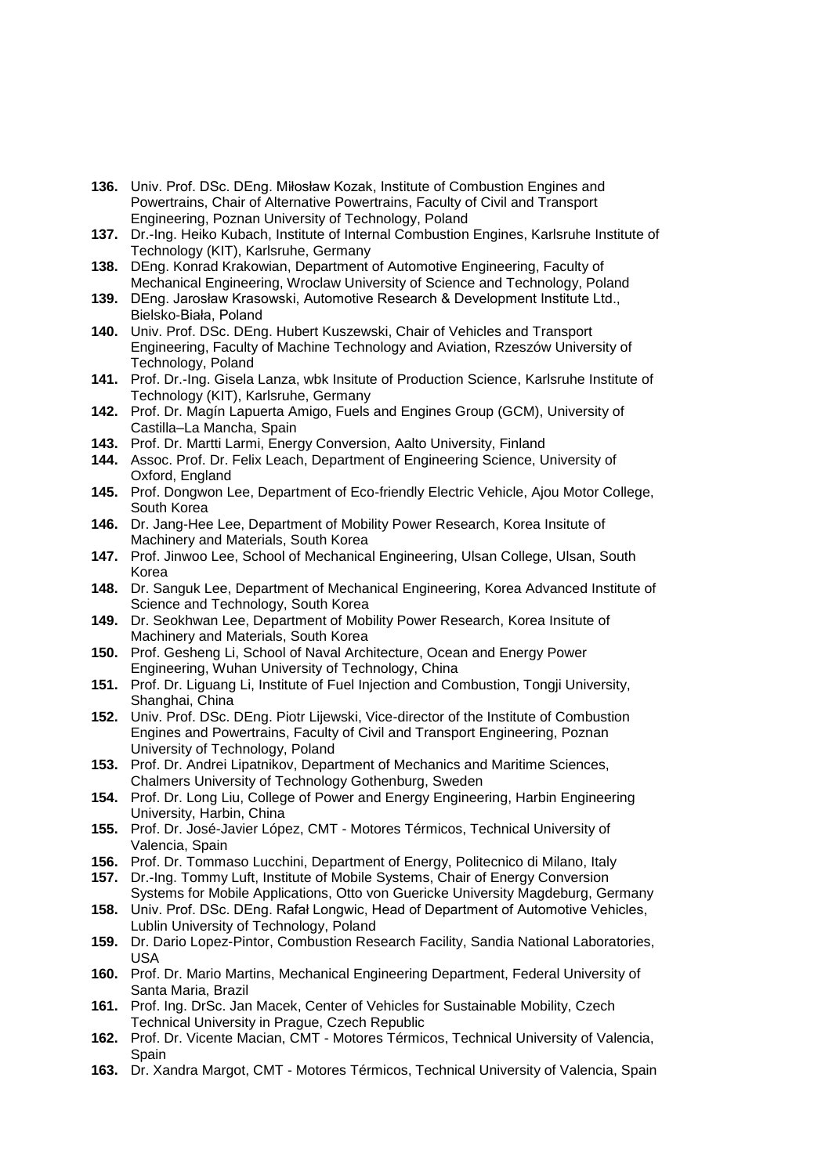- **136.** Univ. Prof. DSc. DEng. Miłosław Kozak, Institute of Combustion Engines and Powertrains, Chair of Alternative Powertrains, Faculty of Civil and Transport Engineering, Poznan University of Technology, Poland
- **137.** Dr.-Ing. Heiko Kubach, Institute of Internal Combustion Engines, Karlsruhe Institute of Technology (KIT), Karlsruhe, Germany
- **138.** DEng. Konrad Krakowian, Department of Automotive Engineering, Faculty of Mechanical Engineering, Wroclaw University of Science and Technology, Poland
- **139.** DEng. Jarosław Krasowski, Automotive Research & Development Institute Ltd., Bielsko-Biała, Poland
- **140.** Univ. Prof. DSc. DEng. Hubert Kuszewski, Chair of Vehicles and Transport Engineering, Faculty of Machine Technology and Aviation, Rzeszów University of Technology, Poland
- **141.** Prof. Dr.-Ing. Gisela Lanza, wbk Insitute of Production Science, Karlsruhe Institute of Technology (KIT), Karlsruhe, Germany
- **142.** Prof. Dr. Magín Lapuerta Amigo, Fuels and Engines Group (GCM), University of Castilla–La Mancha, Spain
- **143.** Prof. Dr. Martti Larmi, Energy Conversion, Aalto University, Finland
- **144.** Assoc. Prof. Dr. Felix Leach, Department of Engineering Science, University of Oxford, England
- **145.** Prof. Dongwon Lee, Department of Eco-friendly Electric Vehicle, Ajou Motor College, South Korea
- **146.** Dr. Jang-Hee Lee, Department of Mobility Power Research, Korea Insitute of Machinery and Materials, South Korea
- **147.** Prof. Jinwoo Lee, School of Mechanical Engineering, Ulsan College, Ulsan, South Korea
- **148.** Dr. Sanguk Lee, Department of Mechanical Engineering, Korea Advanced Institute of Science and Technology, South Korea
- **149.** Dr. Seokhwan Lee, Department of Mobility Power Research, Korea Insitute of Machinery and Materials, South Korea
- **150.** Prof. Gesheng Li, School of Naval Architecture, Ocean and Energy Power Engineering, Wuhan University of Technology, China
- **151.** Prof. Dr. Liguang Li, Institute of Fuel Injection and Combustion, Tongji University, Shanghai, China
- **152.** Univ. Prof. DSc. DEng. Piotr Lijewski, Vice-director of the Institute of Combustion Engines and Powertrains, Faculty of Civil and Transport Engineering, Poznan University of Technology, Poland
- **153.** Prof. Dr. Andrei Lipatnikov, Department of Mechanics and Maritime Sciences, Chalmers University of Technology Gothenburg, Sweden
- **154.** Prof. Dr. Long Liu, College of Power and Energy Engineering, Harbin Engineering University, Harbin, China
- **155.** Prof. Dr. José-Javier López, CMT Motores Térmicos, Technical University of Valencia, Spain
- **156.** Prof. Dr. Tommaso Lucchini, Department of Energy, Politecnico di Milano, Italy
- **157.** Dr.-Ing. Tommy Luft, Institute of Mobile Systems, Chair of Energy Conversion Systems for Mobile Applications, Otto von Guericke University Magdeburg, Germany
- **158.** Univ. Prof. DSc. DEng. Rafał Longwic, Head of Department of Automotive Vehicles, Lublin University of Technology, Poland
- **159.** Dr. Dario Lopez-Pintor, Combustion Research Facility, Sandia National Laboratories, USA
- **160.** Prof. Dr. Mario Martins, Mechanical Engineering Department, Federal University of Santa Maria, Brazil
- **161.** Prof. Ing. DrSc. Jan Macek, Center of Vehicles for Sustainable Mobility, Czech Technical University in Prague, Czech Republic
- **162.** Prof. Dr. Vicente Macian, CMT Motores Térmicos, Technical University of Valencia, **Spain**
- **163.** Dr. Xandra Margot, CMT Motores Térmicos, Technical University of Valencia, Spain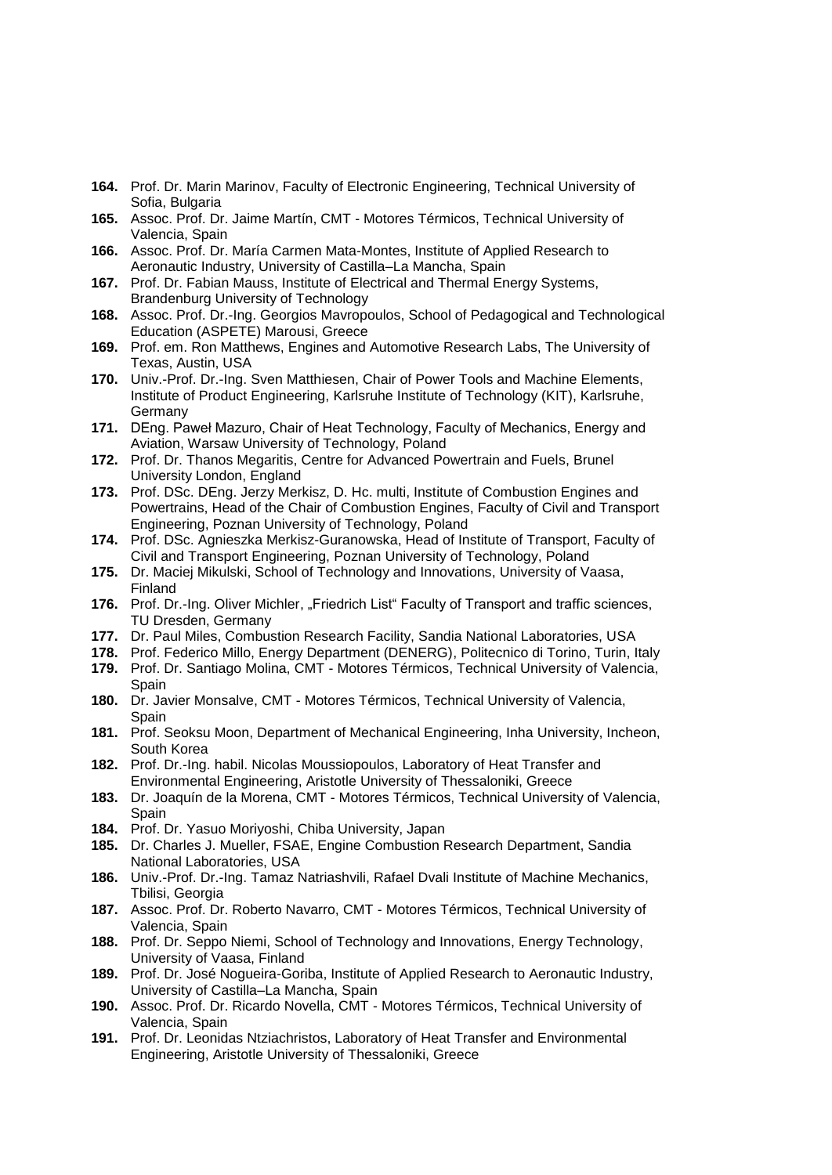- **164.** Prof. Dr. Marin Marinov, Faculty of Electronic Engineering, Technical University of Sofia, Bulgaria
- **165.** Assoc. Prof. Dr. Jaime Martín, CMT Motores Térmicos, Technical University of Valencia, Spain
- **166.** Assoc. Prof. Dr. María Carmen Mata-Montes, Institute of Applied Research to Aeronautic Industry, University of Castilla–La Mancha, Spain
- **167.** Prof. Dr. Fabian Mauss, Institute of Electrical and Thermal Energy Systems, Brandenburg University of Technology
- **168.** Assoc. Prof. Dr.-Ing. Georgios Mavropoulos, School of Pedagogical and Technological Education (ASPETE) Marousi, Greece
- **169.** Prof. em. Ron Matthews, Engines and Automotive Research Labs, The University of Texas, Austin, USA
- **170.** Univ.-Prof. Dr.-Ing. Sven Matthiesen, Chair of Power Tools and Machine Elements, Institute of Product Engineering, Karlsruhe Institute of Technology (KIT), Karlsruhe, Germany
- **171.** DEng. Paweł Mazuro, Chair of Heat Technology, Faculty of Mechanics, Energy and Aviation, Warsaw University of Technology, Poland
- **172.** Prof. Dr. Thanos Megaritis, Centre for Advanced Powertrain and Fuels, Brunel University London, England
- **173.** Prof. DSc. DEng. Jerzy Merkisz, D. Hc. multi, Institute of Combustion Engines and Powertrains, Head of the Chair of Combustion Engines, Faculty of Civil and Transport Engineering, Poznan University of Technology, Poland
- **174.** Prof. DSc. Agnieszka Merkisz-Guranowska, Head of Institute of Transport, Faculty of Civil and Transport Engineering, Poznan University of Technology, Poland
- **175.** Dr. Maciej Mikulski, School of Technology and Innovations, University of Vaasa, Finland
- 176. Prof. Dr.-Ing. Oliver Michler, "Friedrich List" Faculty of Transport and traffic sciences, TU Dresden, Germany
- **177.** Dr. Paul Miles, Combustion Research Facility, Sandia National Laboratories, USA
- **178.** Prof. Federico Millo, Energy Department (DENERG), Politecnico di Torino, Turin, Italy **179.** Prof. Dr. Santiago Molina, CMT - Motores Térmicos, Technical University of Valencia,
- Spain
- **180.** Dr. Javier Monsalve, CMT Motores Térmicos, Technical University of Valencia, Spain
- **181.** Prof. Seoksu Moon, Department of Mechanical Engineering, Inha University, Incheon, South Korea
- **182.** Prof. Dr.-Ing. habil. Nicolas Moussiopoulos, Laboratory of Heat Transfer and Environmental Engineering, Aristotle University of Thessaloniki, Greece
- **183.** Dr. Joaquín de la Morena, CMT Motores Térmicos, Technical University of Valencia, Spain
- **184.** Prof. Dr. Yasuo Moriyoshi, Chiba University, Japan
- **185.** Dr. Charles J. Mueller, FSAE, Engine Combustion Research Department, Sandia National Laboratories, USA
- **186.** Univ.-Prof. Dr.-Ing. Tamaz Natriashvili, Rafael Dvali Institute of Machine Mechanics, Tbilisi, Georgia
- **187.** Assoc. Prof. Dr. Roberto Navarro, CMT Motores Térmicos, Technical University of Valencia, Spain
- **188.** Prof. Dr. Seppo Niemi, School of Technology and Innovations, Energy Technology, University of Vaasa, Finland
- **189.** Prof. Dr. José Nogueira-Goriba, Institute of Applied Research to Aeronautic Industry, University of Castilla–La Mancha, Spain
- **190.** Assoc. Prof. Dr. Ricardo Novella, CMT Motores Térmicos, Technical University of Valencia, Spain
- **191.** Prof. Dr. Leonidas Ntziachristos, Laboratory of Heat Transfer and Environmental Engineering, Aristotle University of Thessaloniki, Greece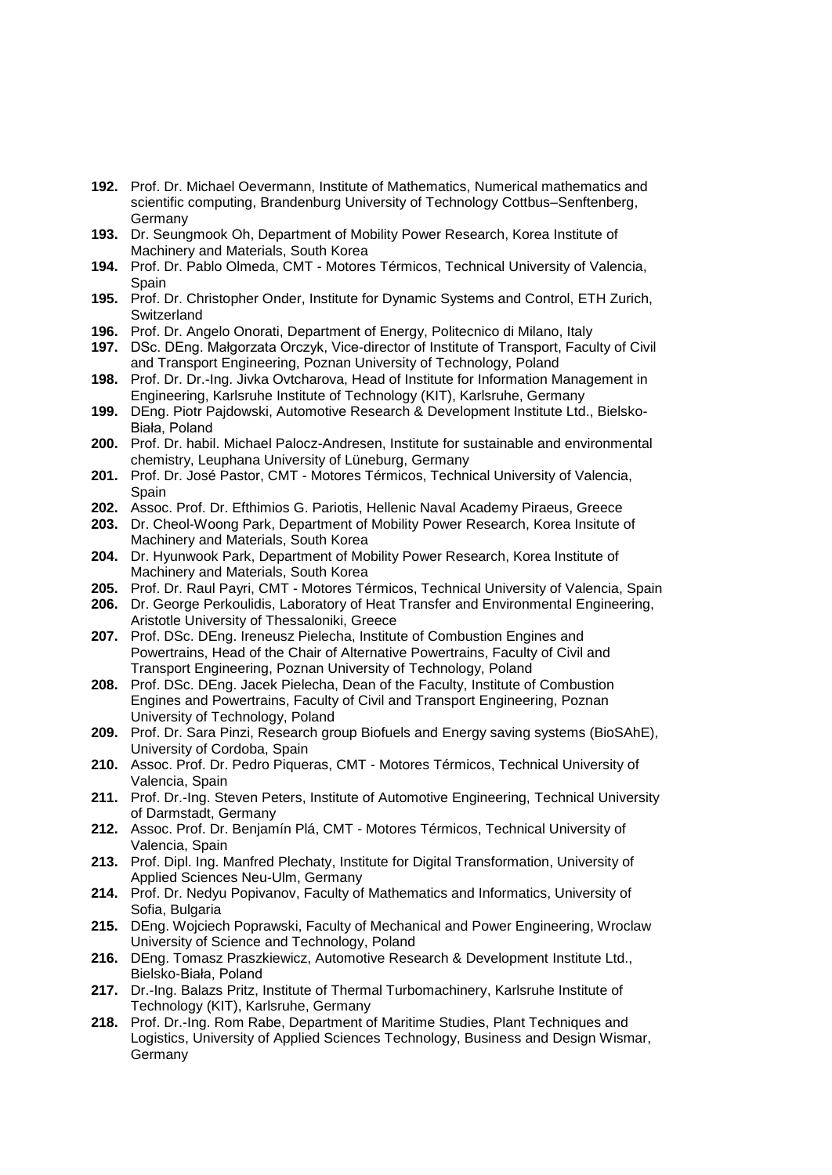- **192.** Prof. Dr. Michael Oevermann, Institute of Mathematics, Numerical mathematics and scientific computing, Brandenburg University of Technology Cottbus–Senftenberg, Germany
- **193.** Dr. Seungmook Oh, Department of Mobility Power Research, Korea Institute of Machinery and Materials, South Korea
- **194.** Prof. Dr. Pablo Olmeda, CMT Motores Térmicos, Technical University of Valencia, Spain
- **195.** Prof. Dr. Christopher Onder, Institute for Dynamic Systems and Control, ETH Zurich, **Switzerland**
- **196.** Prof. Dr. Angelo Onorati, Department of Energy, Politecnico di Milano, Italy
- **197.** DSc. DEng. Małgorzata Orczyk, Vice-director of Institute of Transport, Faculty of Civil and Transport Engineering, Poznan University of Technology, Poland
- **198.** Prof. Dr. Dr.-Ing. Jivka Ovtcharova, Head of Institute for Information Management in Engineering, Karlsruhe Institute of Technology (KIT), Karlsruhe, Germany
- **199.** DEng. Piotr Pajdowski, Automotive Research & Development Institute Ltd., Bielsko-Biała, Poland
- **200.** Prof. Dr. habil. Michael Palocz-Andresen, Institute for sustainable and environmental chemistry, Leuphana University of Lüneburg, Germany
- **201.** Prof. Dr. José Pastor, CMT Motores Térmicos, Technical University of Valencia, **Spain**
- **202.** Assoc. Prof. Dr. Efthimios G. Pariotis, Hellenic Naval Academy Piraeus, Greece
- **203.** Dr. Cheol-Woong Park, Department of Mobility Power Research, Korea Insitute of Machinery and Materials, South Korea
- **204.** Dr. Hyunwook Park, Department of Mobility Power Research, Korea Institute of Machinery and Materials, South Korea
- **205.** Prof. Dr. Raul Payri, CMT Motores Térmicos, Technical University of Valencia, Spain
- **206.** Dr. George Perkoulidis, Laboratory of Heat Transfer and Environmental Engineering, Aristotle University of Thessaloniki, Greece
- **207.** Prof. DSc. DEng. Ireneusz Pielecha, Institute of Combustion Engines and Powertrains, Head of the Chair of Alternative Powertrains, Faculty of Civil and Transport Engineering, Poznan University of Technology, Poland
- **208.** Prof. DSc. DEng. Jacek Pielecha, Dean of the Faculty, Institute of Combustion Engines and Powertrains, Faculty of Civil and Transport Engineering, Poznan University of Technology, Poland
- **209.** Prof. Dr. Sara Pinzi, Research group Biofuels and Energy saving systems (BioSAhE), University of Cordoba, Spain
- **210.** Assoc. Prof. Dr. Pedro Piqueras, CMT Motores Térmicos, Technical University of Valencia, Spain
- **211.** Prof. Dr.-Ing. Steven Peters, Institute of Automotive Engineering, Technical University of Darmstadt, Germany
- **212.** Assoc. Prof. Dr. Benjamín Plá, CMT Motores Térmicos, Technical University of Valencia, Spain
- **213.** Prof. Dipl. Ing. Manfred Plechaty, Institute for Digital Transformation, University of Applied Sciences Neu-Ulm, Germany
- **214.** Prof. Dr. Nedyu Popivanov, Faculty of Mathematics and Informatics, University of Sofia, Bulgaria
- **215.** DEng. Wojciech Poprawski, Faculty of Mechanical and Power Engineering, Wroclaw University of Science and Technology, Poland
- **216.** DEng. Tomasz Praszkiewicz, Automotive Research & Development Institute Ltd., Bielsko-Biała, Poland
- **217.** Dr.-Ing. Balazs Pritz, Institute of Thermal Turbomachinery, Karlsruhe Institute of Technology (KIT), Karlsruhe, Germany
- **218.** Prof. Dr.-Ing. Rom Rabe, Department of Maritime Studies, Plant Techniques and Logistics, University of Applied Sciences Technology, Business and Design Wismar, Germany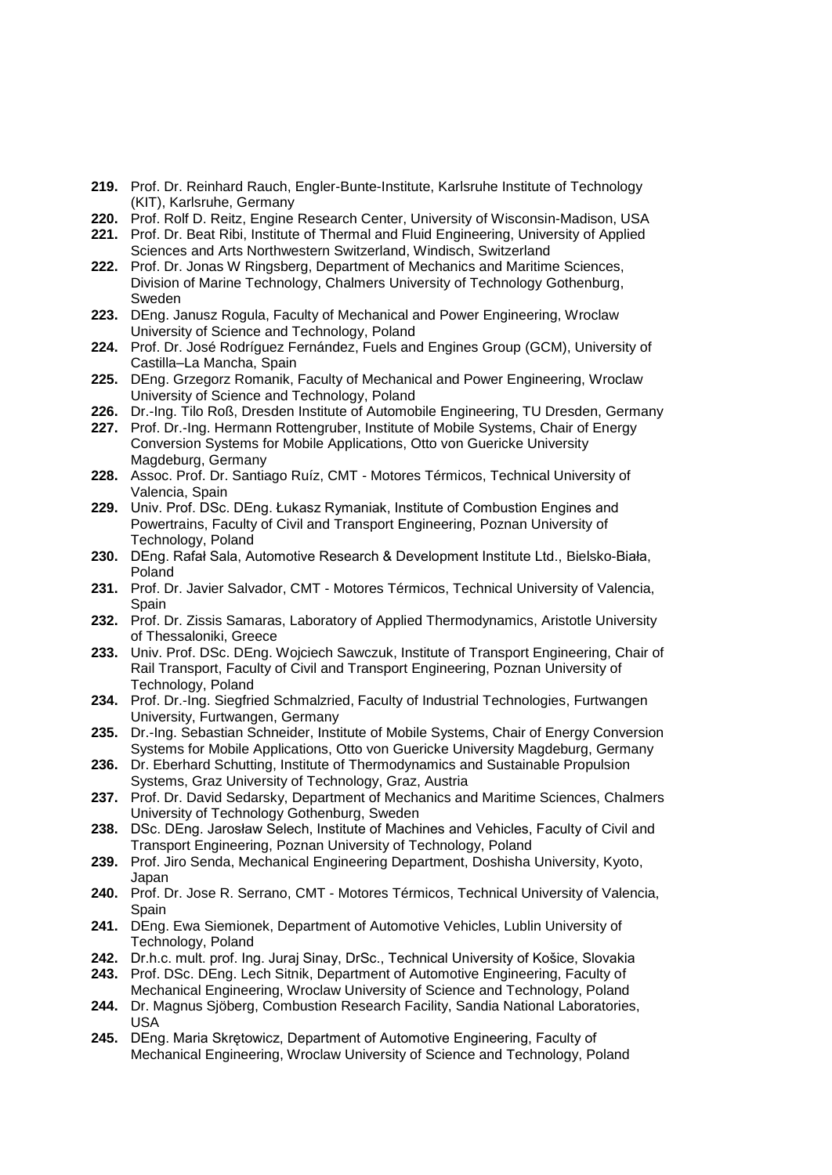- **219.** Prof. Dr. Reinhard Rauch, Engler-Bunte-Institute, Karlsruhe Institute of Technology (KIT), Karlsruhe, Germany
- **220.** Prof. Rolf D. Reitz, Engine Research Center, University of Wisconsin-Madison, USA
- **221.** Prof. Dr. Beat Ribi, Institute of Thermal and Fluid Engineering, University of Applied Sciences and Arts Northwestern Switzerland, Windisch, Switzerland
- **222.** Prof. Dr. Jonas W Ringsberg, Department of Mechanics and Maritime Sciences, Division of Marine Technology, Chalmers University of Technology Gothenburg, Sweden
- **223.** DEng. Janusz Rogula, Faculty of Mechanical and Power Engineering, Wroclaw University of Science and Technology, Poland
- **224.** Prof. Dr. José Rodríguez Fernández, Fuels and Engines Group (GCM), University of Castilla–La Mancha, Spain
- **225.** DEng. Grzegorz Romanik, Faculty of Mechanical and Power Engineering, Wroclaw University of Science and Technology, Poland
- **226.** Dr.-Ing. Tilo Roß, Dresden Institute of Automobile Engineering, TU Dresden, Germany
- **227.** Prof. Dr.-Ing. Hermann Rottengruber, Institute of Mobile Systems, Chair of Energy Conversion Systems for Mobile Applications, Otto von Guericke University Magdeburg, Germany
- **228.** Assoc. Prof. Dr. Santiago Ruíz, CMT Motores Térmicos, Technical University of Valencia, Spain
- **229.** Univ. Prof. DSc. DEng. Łukasz Rymaniak, Institute of Combustion Engines and Powertrains, Faculty of Civil and Transport Engineering, Poznan University of Technology, Poland
- **230.** DEng. Rafał Sala, Automotive Research & Development Institute Ltd., Bielsko-Biała, Poland
- **231.** Prof. Dr. Javier Salvador, CMT Motores Térmicos, Technical University of Valencia, **Spain**
- **232.** Prof. Dr. Zissis Samaras, Laboratory of Applied Thermodynamics, Aristotle University of Thessaloniki, Greece
- **233.** Univ. Prof. DSc. DEng. Wojciech Sawczuk, Institute of Transport Engineering, Chair of Rail Transport, Faculty of Civil and Transport Engineering, Poznan University of Technology, Poland
- **234.** Prof. Dr.-Ing. Siegfried Schmalzried, Faculty of Industrial Technologies, Furtwangen University, Furtwangen, Germany
- **235.** Dr.-Ing. Sebastian Schneider, Institute of Mobile Systems, Chair of Energy Conversion Systems for Mobile Applications, Otto von Guericke University Magdeburg, Germany
- **236.** Dr. Eberhard Schutting, Institute of Thermodynamics and Sustainable Propulsion Systems, Graz University of Technology, Graz, Austria
- **237.** Prof. Dr. David Sedarsky, Department of Mechanics and Maritime Sciences, Chalmers University of Technology Gothenburg, Sweden
- **238.** DSc. DEng. Jarosław Selech, Institute of Machines and Vehicles, Faculty of Civil and Transport Engineering, Poznan University of Technology, Poland
- **239.** Prof. Jiro Senda, Mechanical Engineering Department, Doshisha University, Kyoto, Japan
- **240.** Prof. Dr. Jose R. Serrano, CMT Motores Térmicos, Technical University of Valencia, Spain
- **241.** DEng. Ewa Siemionek, Department of Automotive Vehicles, Lublin University of Technology, Poland
- **242.** Dr.h.c. mult. prof. Ing. Juraj Sinay, DrSc., Technical University of Košice, Slovakia
- **243.** Prof. DSc. DEng. Lech Sitnik, Department of Automotive Engineering, Faculty of Mechanical Engineering, Wroclaw University of Science and Technology, Poland
- **244.** Dr. Magnus Sjöberg, Combustion Research Facility, Sandia National Laboratories, USA
- **245.** DEng. Maria Skrętowicz, Department of Automotive Engineering, Faculty of Mechanical Engineering, Wroclaw University of Science and Technology, Poland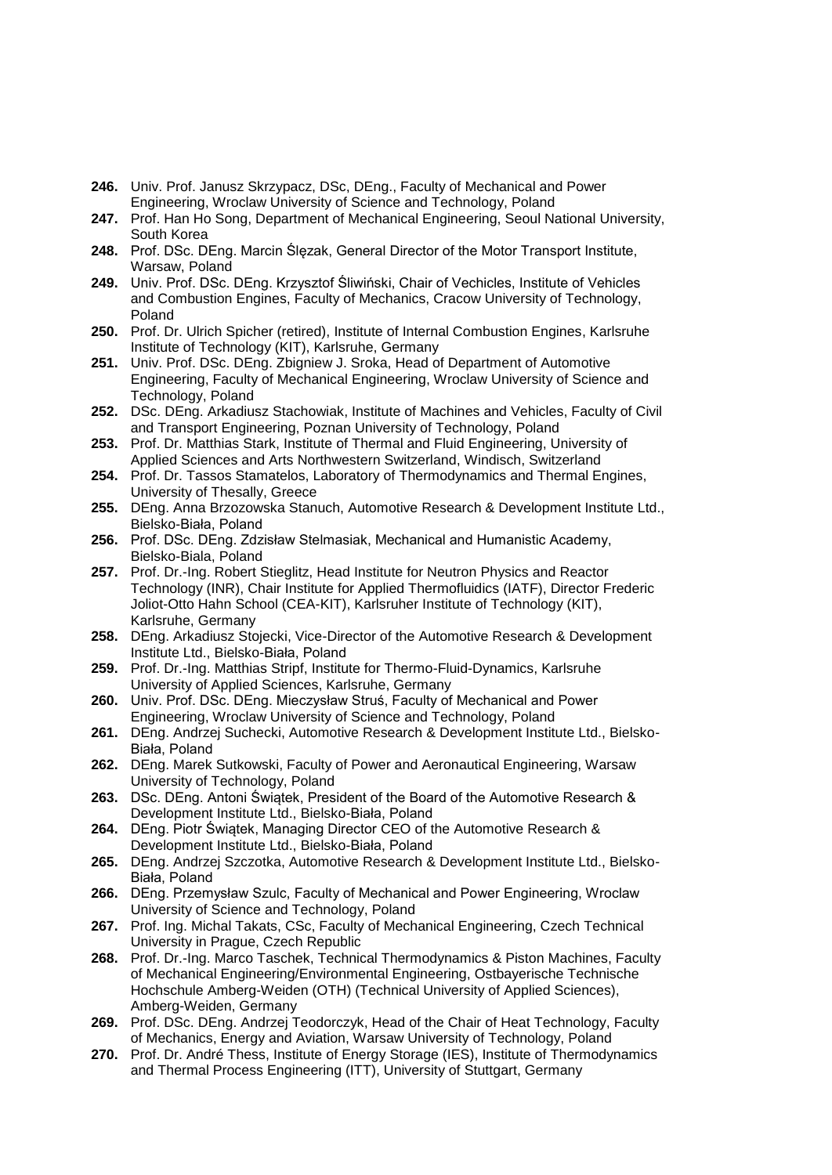- **246.** Univ. Prof. Janusz Skrzypacz, DSc, DEng., Faculty of Mechanical and Power Engineering, Wroclaw University of Science and Technology, Poland
- **247.** Prof. Han Ho Song, Department of Mechanical Engineering, Seoul National University, South Korea
- **248.** Prof. DSc. DEng. Marcin Ślęzak, General Director of the Motor Transport Institute, Warsaw, Poland
- **249.** Univ. Prof. DSc. DEng. Krzysztof Śliwiński, Chair of Vechicles, Institute of Vehicles and Combustion Engines, Faculty of Mechanics, Cracow University of Technology, Poland
- **250.** Prof. Dr. Ulrich Spicher (retired), Institute of Internal Combustion Engines, Karlsruhe Institute of Technology (KIT), Karlsruhe, Germany
- **251.** Univ. Prof. DSc. DEng. Zbigniew J. Sroka, Head of Department of Automotive Engineering, Faculty of Mechanical Engineering, Wroclaw University of Science and Technology, Poland
- **252.** DSc. DEng. Arkadiusz Stachowiak, Institute of Machines and Vehicles, Faculty of Civil and Transport Engineering, Poznan University of Technology, Poland
- **253.** Prof. Dr. Matthias Stark, Institute of Thermal and Fluid Engineering, University of Applied Sciences and Arts Northwestern Switzerland, Windisch, Switzerland
- **254.** Prof. Dr. Tassos Stamatelos, Laboratory of Thermodynamics and Thermal Engines, University of Thesally, Greece
- **255.** DEng. Anna Brzozowska Stanuch, Automotive Research & Development Institute Ltd., Bielsko-Biała, Poland
- **256.** Prof. DSc. DEng. Zdzisław Stelmasiak, Mechanical and Humanistic Academy, Bielsko-Biala, Poland
- **257.** Prof. Dr.-Ing. Robert Stieglitz, Head Institute for Neutron Physics and Reactor Technology (INR), Chair Institute for Applied Thermofluidics (IATF), Director Frederic Joliot-Otto Hahn School (CEA-KIT), Karlsruher Institute of Technology (KIT), Karlsruhe, Germany
- **258.** DEng. Arkadiusz Stojecki, Vice-Director of the Automotive Research & Development Institute Ltd., Bielsko-Biała, Poland
- **259.** Prof. Dr.-Ing. Matthias Stripf, Institute for Thermo-Fluid-Dynamics, Karlsruhe University of Applied Sciences, Karlsruhe, Germany
- **260.** Univ. Prof. DSc. DEng. Mieczysław Struś, Faculty of Mechanical and Power Engineering, Wroclaw University of Science and Technology, Poland
- **261.** DEng. Andrzej Suchecki, Automotive Research & Development Institute Ltd., Bielsko-Biała, Poland
- **262.** DEng. Marek Sutkowski, Faculty of Power and Aeronautical Engineering, Warsaw University of Technology, Poland
- **263.** DSc. DEng. Antoni Świątek, President of the Board of the Automotive Research & Development Institute Ltd., Bielsko-Biała, Poland
- **264.** DEng. Piotr Świątek, Managing Director CEO of the Automotive Research & Development Institute Ltd., Bielsko-Biała, Poland
- **265.** DEng. Andrzej Szczotka, Automotive Research & Development Institute Ltd., Bielsko-Biała, Poland
- **266.** DEng. Przemysław Szulc, Faculty of Mechanical and Power Engineering, Wroclaw University of Science and Technology, Poland
- **267.** Prof. Ing. Michal Takats, CSc, Faculty of Mechanical Engineering, Czech Technical University in Prague, Czech Republic
- **268.** Prof. Dr.-Ing. Marco Taschek, Technical Thermodynamics & Piston Machines, Faculty of Mechanical Engineering/Environmental Engineering, Ostbayerische Technische Hochschule Amberg-Weiden (OTH) (Technical University of Applied Sciences), Amberg-Weiden, Germany
- **269.** Prof. DSc. DEng. Andrzej Teodorczyk, Head of the Chair of Heat Technology, Faculty of Mechanics, Energy and Aviation, Warsaw University of Technology, Poland
- **270.** Prof. Dr. André Thess, Institute of Energy Storage (IES), Institute of Thermodynamics and Thermal Process Engineering (ITT), University of Stuttgart, Germany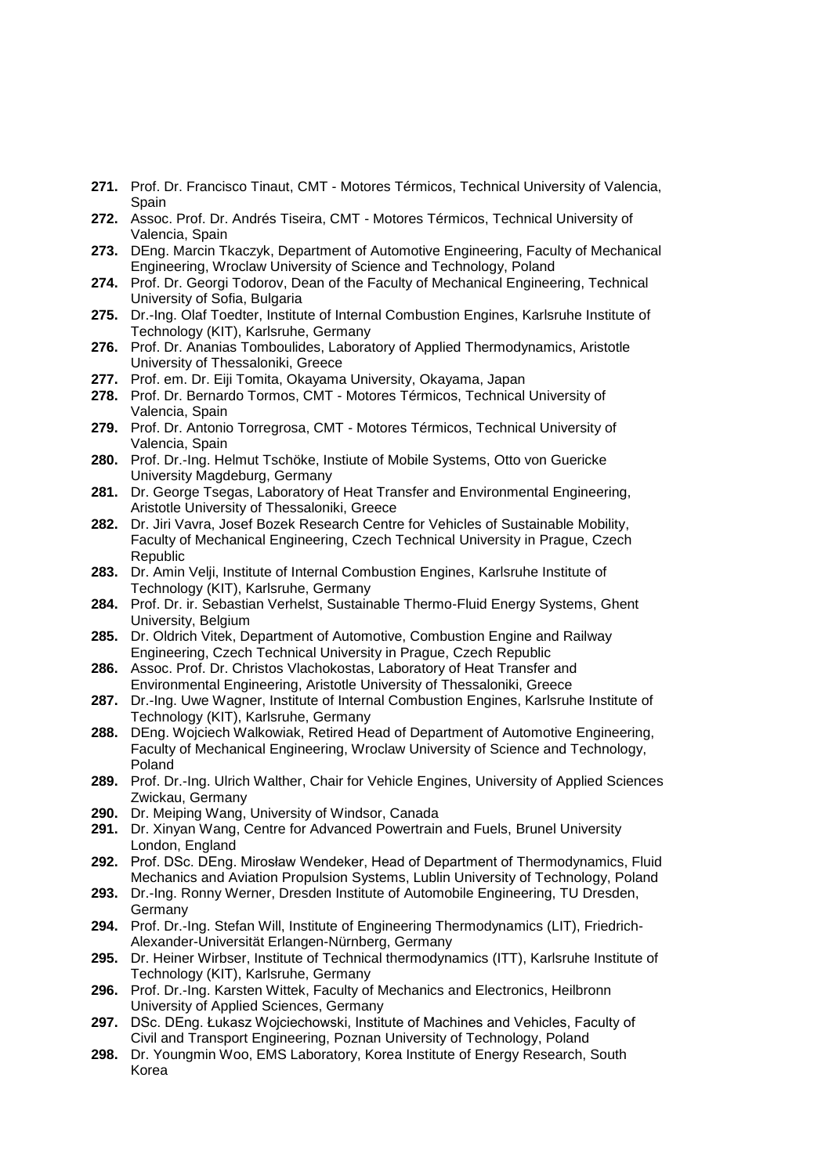- **271.** Prof. Dr. Francisco Tinaut, CMT Motores Térmicos, Technical University of Valencia, Spain
- **272.** Assoc. Prof. Dr. Andrés Tiseira, CMT Motores Térmicos, Technical University of Valencia, Spain
- **273.** DEng. Marcin Tkaczyk, Department of Automotive Engineering, Faculty of Mechanical Engineering, Wroclaw University of Science and Technology, Poland
- **274.** Prof. Dr. Georgi Todorov, Dean of the Faculty of Mechanical Engineering, Technical University of Sofia, Bulgaria
- **275.** Dr.-Ing. Olaf Toedter, Institute of Internal Combustion Engines, Karlsruhe Institute of Technology (KIT), Karlsruhe, Germany
- **276.** Prof. Dr. Ananias Tomboulides, Laboratory of Applied Thermodynamics, Aristotle University of Thessaloniki, Greece
- **277.** Prof. em. Dr. Eiji Tomita, Okayama University, Okayama, Japan
- **278.** Prof. Dr. Bernardo Tormos, CMT Motores Térmicos, Technical University of Valencia, Spain
- **279.** Prof. Dr. Antonio Torregrosa, CMT Motores Térmicos, Technical University of Valencia, Spain
- **280.** Prof. Dr.-Ing. Helmut Tschöke, Instiute of Mobile Systems, Otto von Guericke University Magdeburg, Germany
- **281.** Dr. George Tsegas, Laboratory of Heat Transfer and Environmental Engineering, Aristotle University of Thessaloniki, Greece
- **282.** Dr. Jiri Vavra, Josef Bozek Research Centre for Vehicles of Sustainable Mobility, Faculty of Mechanical Engineering, Czech Technical University in Prague, Czech Republic
- **283.** Dr. Amin Velji, Institute of Internal Combustion Engines, Karlsruhe Institute of Technology (KIT), Karlsruhe, Germany
- **284.** Prof. Dr. ir. Sebastian Verhelst, Sustainable Thermo-Fluid Energy Systems, Ghent University, Belgium
- **285.** Dr. Oldrich Vitek, Department of Automotive, Combustion Engine and Railway Engineering, Czech Technical University in Prague, Czech Republic
- **286.** Assoc. Prof. Dr. Christos Vlachokostas, Laboratory of Heat Transfer and Environmental Engineering, Aristotle University of Thessaloniki, Greece
- **287.** Dr.-Ing. Uwe Wagner, Institute of Internal Combustion Engines, Karlsruhe Institute of Technology (KIT), Karlsruhe, Germany
- **288.** DEng. Wojciech Walkowiak, Retired Head of Department of Automotive Engineering, Faculty of Mechanical Engineering, Wroclaw University of Science and Technology, Poland
- **289.** Prof. Dr.-Ing. Ulrich Walther, Chair for Vehicle Engines, University of Applied Sciences Zwickau, Germany
- **290.** Dr. Meiping Wang, University of Windsor, Canada
- **291.** Dr. Xinyan Wang, Centre for Advanced Powertrain and Fuels, Brunel University London, England
- **292.** Prof. DSc. DEng. Mirosław Wendeker, Head of Department of Thermodynamics, Fluid Mechanics and Aviation Propulsion Systems, Lublin University of Technology, Poland
- **293.** Dr.-Ing. Ronny Werner, Dresden Institute of Automobile Engineering, TU Dresden, Germany
- **294.** Prof. Dr.-Ing. Stefan Will, Institute of Engineering Thermodynamics (LIT), Friedrich-Alexander-Universität Erlangen-Nürnberg, Germany
- **295.** Dr. Heiner Wirbser, Institute of Technical thermodynamics (ITT), Karlsruhe Institute of Technology (KIT), Karlsruhe, Germany
- **296.** Prof. Dr.-Ing. Karsten Wittek, Faculty of Mechanics and Electronics, Heilbronn University of Applied Sciences, Germany
- **297.** DSc. DEng. Łukasz Wojciechowski, Institute of Machines and Vehicles, Faculty of Civil and Transport Engineering, Poznan University of Technology, Poland
- **298.** Dr. Youngmin Woo, EMS Laboratory, Korea Institute of Energy Research, South Korea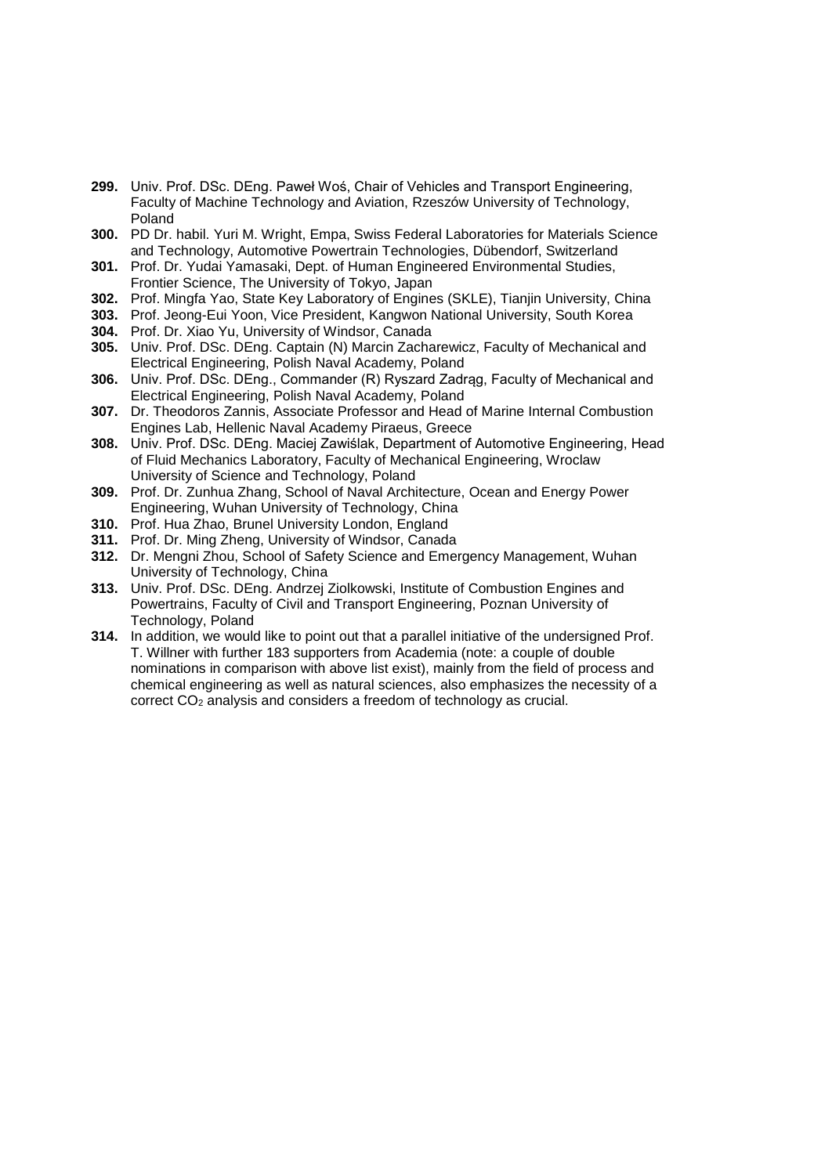- **299.** Univ. Prof. DSc. DEng. Paweł Woś, Chair of Vehicles and Transport Engineering, Faculty of Machine Technology and Aviation, Rzeszów University of Technology, Poland
- **300.** PD Dr. habil. Yuri M. Wright, Empa, Swiss Federal Laboratories for Materials Science and Technology, Automotive Powertrain Technologies, Dübendorf, Switzerland
- **301.** Prof. Dr. Yudai Yamasaki, Dept. of Human Engineered Environmental Studies, Frontier Science, The University of Tokyo, Japan
- **302.** Prof. Mingfa Yao, State Key Laboratory of Engines (SKLE), Tianjin University, China
- **303.** Prof. Jeong-Eui Yoon, Vice President, Kangwon National University, South Korea
- **304.** Prof. Dr. Xiao Yu, University of Windsor, Canada
- **305.** Univ. Prof. DSc. DEng. Captain (N) Marcin Zacharewicz, Faculty of Mechanical and Electrical Engineering, Polish Naval Academy, Poland
- **306.** Univ. Prof. DSc. DEng., Commander (R) Ryszard Zadrąg, Faculty of Mechanical and Electrical Engineering, Polish Naval Academy, Poland
- **307.** Dr. Theodoros Zannis, Associate Professor and Head of Marine Internal Combustion Engines Lab, Hellenic Naval Academy Piraeus, Greece
- **308.** Univ. Prof. DSc. DEng. Maciej Zawiślak, Department of Automotive Engineering, Head of Fluid Mechanics Laboratory, Faculty of Mechanical Engineering, Wroclaw University of Science and Technology, Poland
- **309.** Prof. Dr. Zunhua Zhang, School of Naval Architecture, Ocean and Energy Power Engineering, Wuhan University of Technology, China
- **310.** Prof. Hua Zhao, Brunel University London, England
- **311.** Prof. Dr. Ming Zheng, University of Windsor, Canada
- **312.** Dr. Mengni Zhou, School of Safety Science and Emergency Management, Wuhan University of Technology, China
- **313.** Univ. Prof. DSc. DEng. Andrzej Ziolkowski, Institute of Combustion Engines and Powertrains, Faculty of Civil and Transport Engineering, Poznan University of Technology, Poland
- **314.** In addition, we would like to point out that a parallel initiative of the undersigned Prof. T. Willner with further 183 supporters from Academia (note: a couple of double nominations in comparison with above list exist), mainly from the field of process and chemical engineering as well as natural sciences, also emphasizes the necessity of a correct CO<sub>2</sub> analysis and considers a freedom of technology as crucial.